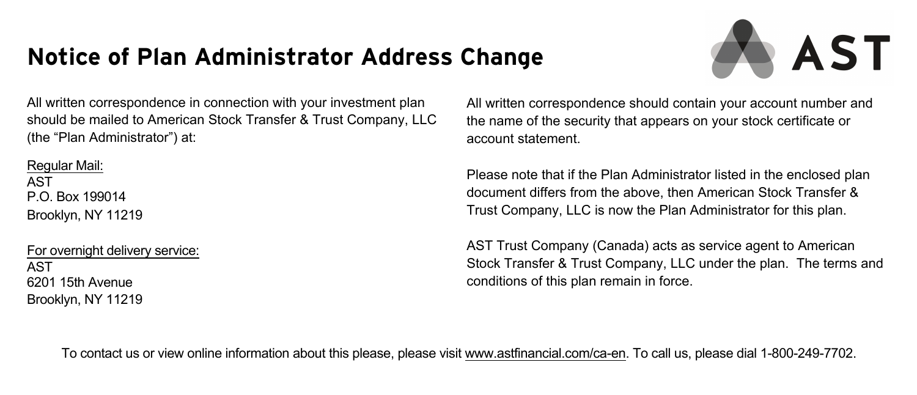# **Notice of Plan Administrator Address Change**



All written correspondence in connection with your investment plan should be mailed to American Stock Transfer & Trust Company, LLC (the "Plan Administrator") at:

Regular Mail: AST P.O. Box 199014 Brooklyn, NY 11219

For overnight delivery service: AST 6201 15th Avenue Brooklyn, NY 11219

All written correspondence should contain your account number and the name of the security that appears on your stock certificate or account statement.

Please note that if the Plan Administrator listed in the enclosed plan document differs from the above, then American Stock Transfer & Trust Company, LLC is now the Plan Administrator for this plan.

AST Trust Company (Canada) acts as service agent to American Stock Transfer & Trust Company, LLC under the plan. The terms and conditions of this plan remain in force.

To contact us or view online information about this please, please visit www.astfinancial.com/ca-en. To call us, please dial 1-800-249-7702.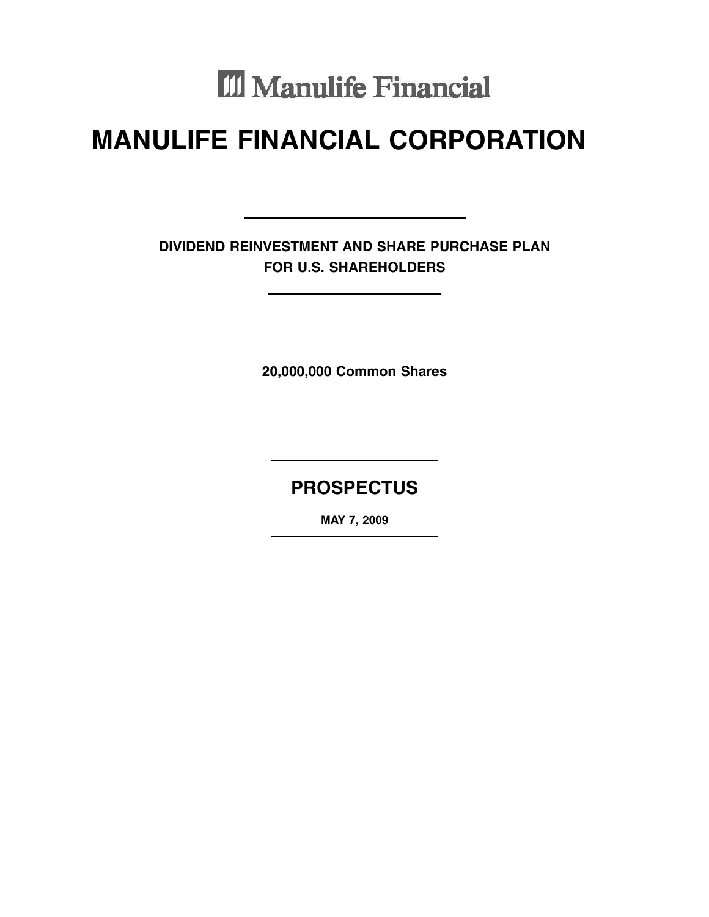# III Manulife Financial

# **MANULIFE FINANCIAL CORPORATION**

**DIVIDEND REINVESTMENT AND SHARE PURCHASE PLAN FOR U.S. SHAREHOLDERS**

**20,000,000 Common Shares**

# **PROSPECTUS**

**MAY 7, 2009**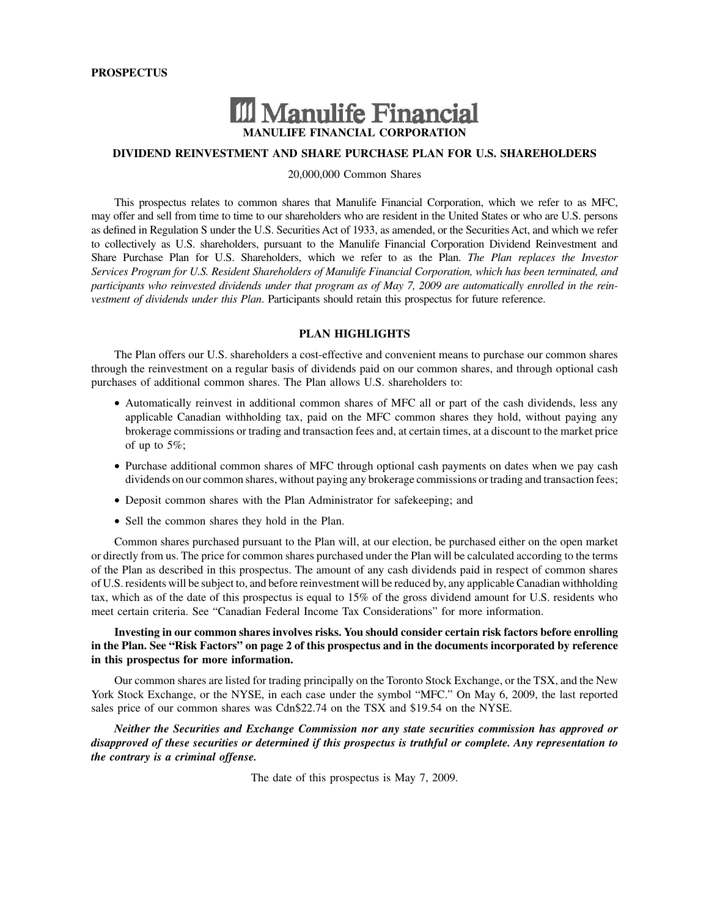# III Manulife Financial **MANULIFE FINANCIAL CORPORATION**

# **DIVIDEND REINVESTMENT AND SHARE PURCHASE PLAN FOR U.S. SHAREHOLDERS**

20,000,000 Common Shares

This prospectus relates to common shares that Manulife Financial Corporation, which we refer to as MFC, may offer and sell from time to time to our shareholders who are resident in the United States or who are U.S. persons as defined in Regulation S under the U.S. Securities Act of 1933, as amended, or the Securities Act, and which we refer to collectively as U.S. shareholders, pursuant to the Manulife Financial Corporation Dividend Reinvestment and Share Purchase Plan for U.S. Shareholders, which we refer to as the Plan. *The Plan replaces the Investor Services Program for U.S. Resident Shareholders of Manulife Financial Corporation, which has been terminated, and participants who reinvested dividends under that program as of May 7, 2009 are automatically enrolled in the reinvestment of dividends under this Plan*. Participants should retain this prospectus for future reference.

# **PLAN HIGHLIGHTS**

The Plan offers our U.S. shareholders a cost-effective and convenient means to purchase our common shares through the reinvestment on a regular basis of dividends paid on our common shares, and through optional cash purchases of additional common shares. The Plan allows U.S. shareholders to:

- Automatically reinvest in additional common shares of MFC all or part of the cash dividends, less any applicable Canadian withholding tax, paid on the MFC common shares they hold, without paying any brokerage commissions or trading and transaction fees and, at certain times, at a discount to the market price of up to 5%;
- Purchase additional common shares of MFC through optional cash payments on dates when we pay cash dividends on our common shares, without paying any brokerage commissions or trading and transaction fees;
- Deposit common shares with the Plan Administrator for safekeeping; and
- Sell the common shares they hold in the Plan.

Common shares purchased pursuant to the Plan will, at our election, be purchased either on the open market or directly from us. The price for common shares purchased under the Plan will be calculated according to the terms of the Plan as described in this prospectus. The amount of any cash dividends paid in respect of common shares of U.S. residents will be subject to, and before reinvestment will be reduced by, any applicable Canadian withholding tax, which as of the date of this prospectus is equal to 15% of the gross dividend amount for U.S. residents who meet certain criteria. See "Canadian Federal Income Tax Considerations" for more information.

# **Investing in our common shares involves risks. You should consider certain risk factors before enrolling in the Plan. See "Risk Factors" on page 2 of this prospectus and in the documents incorporated by reference in this prospectus for more information.**

Our common shares are listed for trading principally on the Toronto Stock Exchange, or the TSX, and the New York Stock Exchange, or the NYSE, in each case under the symbol "MFC." On May 6, 2009, the last reported sales price of our common shares was Cdn\$22.74 on the TSX and \$19.54 on the NYSE.

*Neither the Securities and Exchange Commission nor any state securities commission has approved or disapproved of these securities or determined if this prospectus is truthful or complete. Any representation to the contrary is a criminal offense.*

The date of this prospectus is May 7, 2009.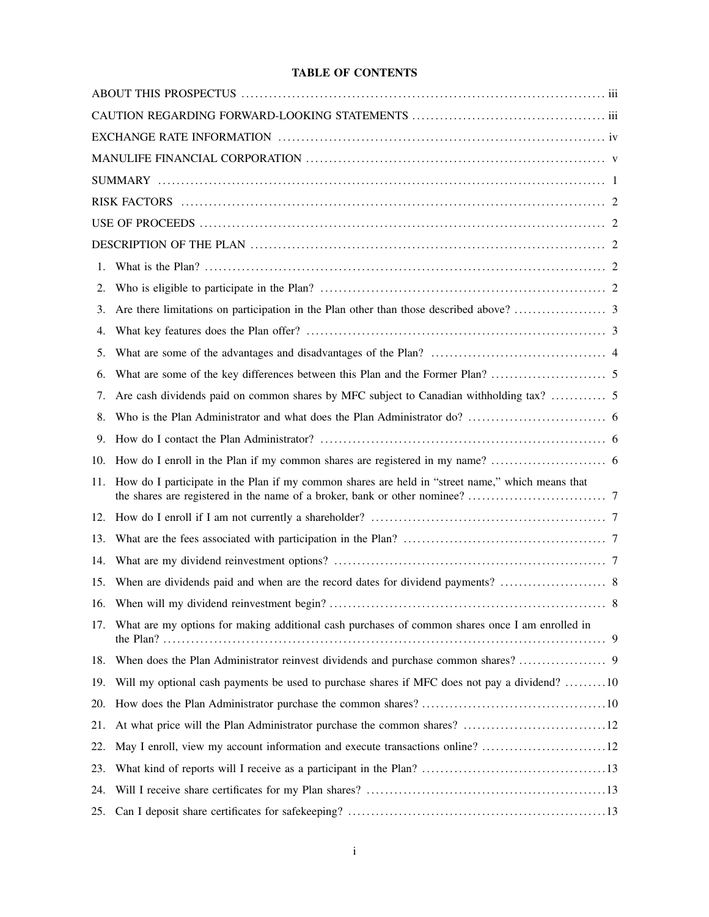# **TABLE OF CONTENTS**

| 1.  |                                                                                                     |
|-----|-----------------------------------------------------------------------------------------------------|
| 2.  |                                                                                                     |
| 3.  |                                                                                                     |
| 4.  |                                                                                                     |
| 5.  |                                                                                                     |
| 6.  |                                                                                                     |
| 7.  |                                                                                                     |
| 8.  |                                                                                                     |
| 9.  |                                                                                                     |
| 10. |                                                                                                     |
| 11. | How do I participate in the Plan if my common shares are held in "street name," which means that    |
| 12. |                                                                                                     |
| 13. |                                                                                                     |
| 14. |                                                                                                     |
| 15. |                                                                                                     |
|     | 8                                                                                                   |
|     | 17. What are my options for making additional cash purchases of common shares once I am enrolled in |
|     |                                                                                                     |
| 19. | Will my optional cash payments be used to purchase shares if MFC does not pay a dividend? 10        |
| 20. |                                                                                                     |
| 21. |                                                                                                     |
| 22. | May I enroll, view my account information and execute transactions online? 12                       |
| 23. |                                                                                                     |
| 24. |                                                                                                     |
|     |                                                                                                     |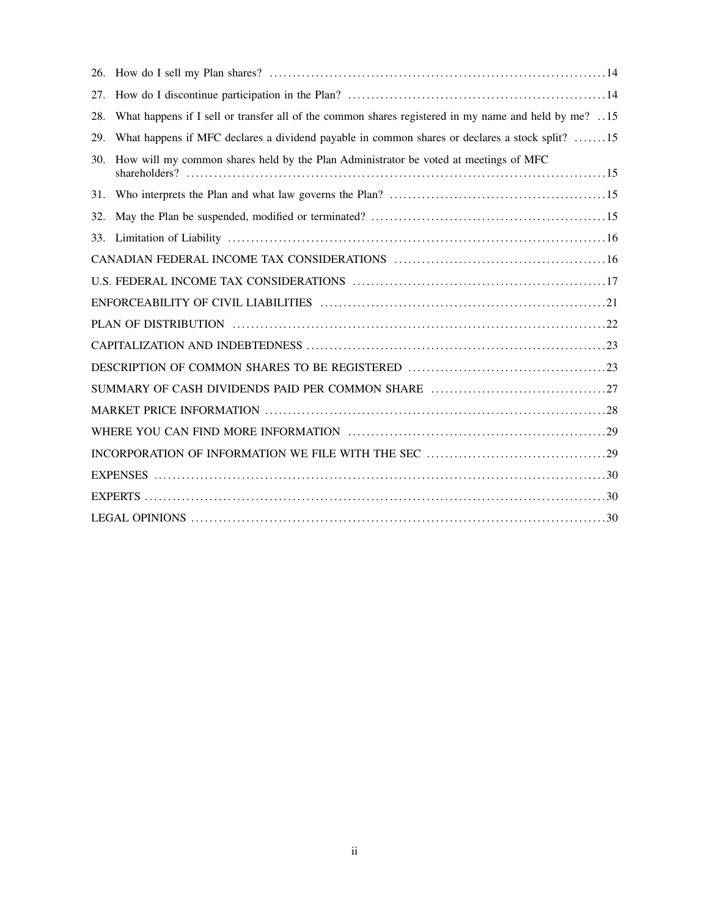| 27. |                                                                                                      |
|-----|------------------------------------------------------------------------------------------------------|
| 28. | What happens if I sell or transfer all of the common shares registered in my name and held by me? 15 |
| 29. | What happens if MFC declares a dividend payable in common shares or declares a stock split? 15       |
| 30. | How will my common shares held by the Plan Administrator be voted at meetings of MFC                 |
| 31. |                                                                                                      |
| 32. |                                                                                                      |
|     |                                                                                                      |
|     |                                                                                                      |
|     |                                                                                                      |
|     |                                                                                                      |
|     |                                                                                                      |
|     |                                                                                                      |
|     |                                                                                                      |
|     |                                                                                                      |
|     |                                                                                                      |
|     |                                                                                                      |
|     |                                                                                                      |
|     |                                                                                                      |
|     |                                                                                                      |
|     |                                                                                                      |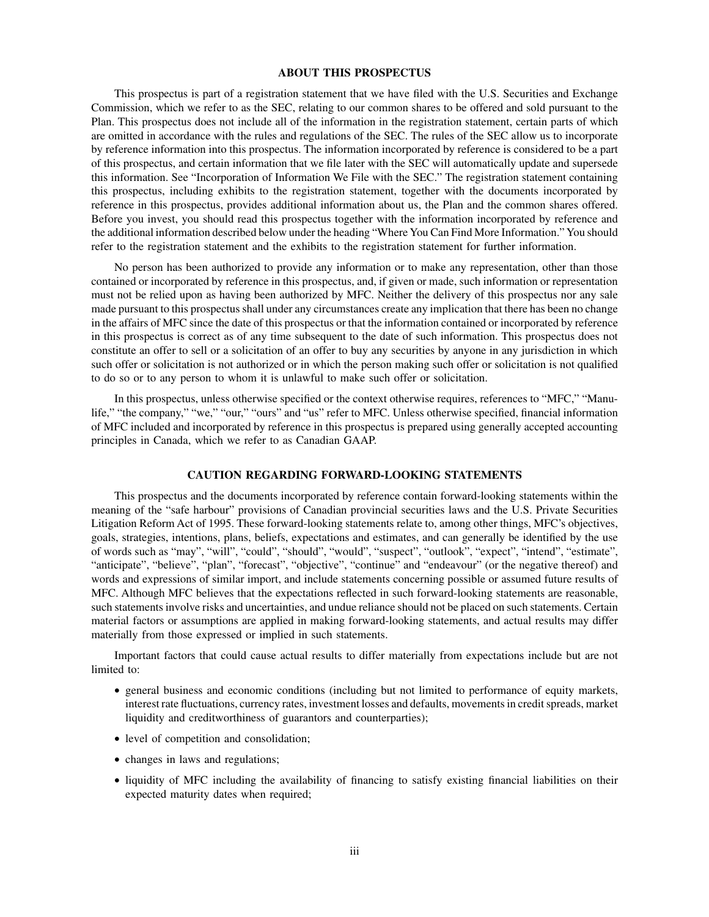#### **ABOUT THIS PROSPECTUS**

This prospectus is part of a registration statement that we have filed with the U.S. Securities and Exchange Commission, which we refer to as the SEC, relating to our common shares to be offered and sold pursuant to the Plan. This prospectus does not include all of the information in the registration statement, certain parts of which are omitted in accordance with the rules and regulations of the SEC. The rules of the SEC allow us to incorporate by reference information into this prospectus. The information incorporated by reference is considered to be a part of this prospectus, and certain information that we file later with the SEC will automatically update and supersede this information. See "Incorporation of Information We File with the SEC." The registration statement containing this prospectus, including exhibits to the registration statement, together with the documents incorporated by reference in this prospectus, provides additional information about us, the Plan and the common shares offered. Before you invest, you should read this prospectus together with the information incorporated by reference and the additional information described below under the heading "Where You Can Find More Information." You should refer to the registration statement and the exhibits to the registration statement for further information.

No person has been authorized to provide any information or to make any representation, other than those contained or incorporated by reference in this prospectus, and, if given or made, such information or representation must not be relied upon as having been authorized by MFC. Neither the delivery of this prospectus nor any sale made pursuant to this prospectus shall under any circumstances create any implication that there has been no change in the affairs of MFC since the date of this prospectus or that the information contained or incorporated by reference in this prospectus is correct as of any time subsequent to the date of such information. This prospectus does not constitute an offer to sell or a solicitation of an offer to buy any securities by anyone in any jurisdiction in which such offer or solicitation is not authorized or in which the person making such offer or solicitation is not qualified to do so or to any person to whom it is unlawful to make such offer or solicitation.

In this prospectus, unless otherwise specified or the context otherwise requires, references to "MFC," "Manulife," "the company," "we," "our," "ours" and "us" refer to MFC. Unless otherwise specified, financial information of MFC included and incorporated by reference in this prospectus is prepared using generally accepted accounting principles in Canada, which we refer to as Canadian GAAP.

# **CAUTION REGARDING FORWARD-LOOKING STATEMENTS**

This prospectus and the documents incorporated by reference contain forward-looking statements within the meaning of the "safe harbour" provisions of Canadian provincial securities laws and the U.S. Private Securities Litigation Reform Act of 1995. These forward-looking statements relate to, among other things, MFC's objectives, goals, strategies, intentions, plans, beliefs, expectations and estimates, and can generally be identified by the use of words such as "may", "will", "could", "should", "would", "suspect", "outlook", "expect", "intend", "estimate", "anticipate", "believe", "plan", "forecast", "objective", "continue" and "endeavour" (or the negative thereof) and words and expressions of similar import, and include statements concerning possible or assumed future results of MFC. Although MFC believes that the expectations reflected in such forward-looking statements are reasonable, such statements involve risks and uncertainties, and undue reliance should not be placed on such statements. Certain material factors or assumptions are applied in making forward-looking statements, and actual results may differ materially from those expressed or implied in such statements.

Important factors that could cause actual results to differ materially from expectations include but are not limited to:

- general business and economic conditions (including but not limited to performance of equity markets, interest rate fluctuations, currency rates, investment losses and defaults, movements in credit spreads, market liquidity and creditworthiness of guarantors and counterparties);
- level of competition and consolidation;
- changes in laws and regulations;
- liquidity of MFC including the availability of financing to satisfy existing financial liabilities on their expected maturity dates when required;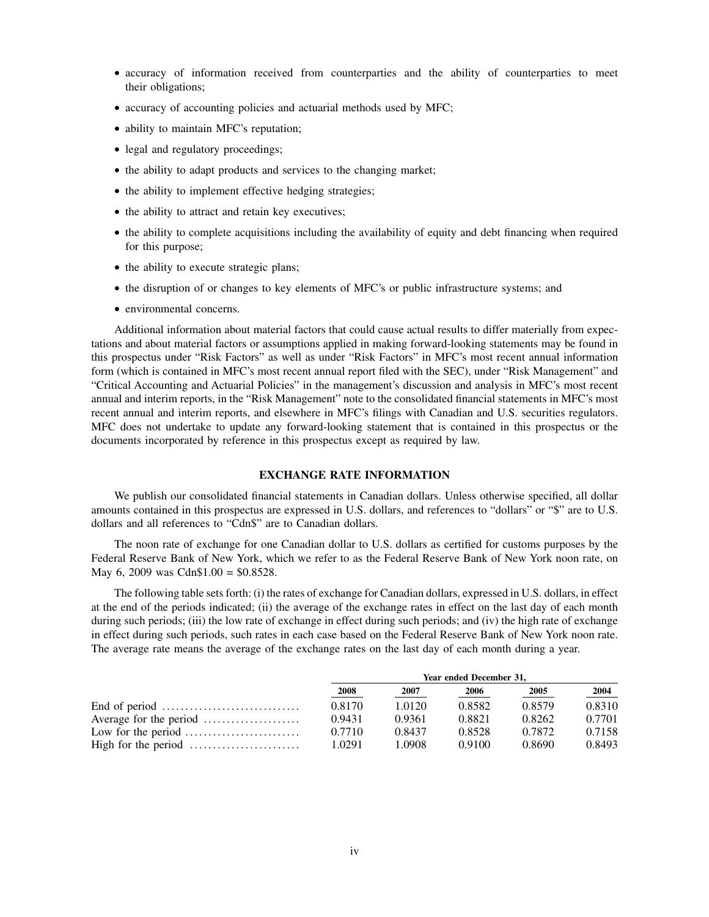- accuracy of information received from counterparties and the ability of counterparties to meet their obligations;
- accuracy of accounting policies and actuarial methods used by MFC;
- ability to maintain MFC's reputation;
- legal and regulatory proceedings;
- the ability to adapt products and services to the changing market;
- the ability to implement effective hedging strategies;
- the ability to attract and retain key executives;
- the ability to complete acquisitions including the availability of equity and debt financing when required for this purpose;
- the ability to execute strategic plans;
- the disruption of or changes to key elements of MFC's or public infrastructure systems; and
- environmental concerns.

Additional information about material factors that could cause actual results to differ materially from expectations and about material factors or assumptions applied in making forward-looking statements may be found in this prospectus under "Risk Factors" as well as under "Risk Factors" in MFC's most recent annual information form (which is contained in MFC's most recent annual report filed with the SEC), under "Risk Management" and "Critical Accounting and Actuarial Policies" in the management's discussion and analysis in MFC's most recent annual and interim reports, in the "Risk Management" note to the consolidated financial statements in MFC's most recent annual and interim reports, and elsewhere in MFC's filings with Canadian and U.S. securities regulators. MFC does not undertake to update any forward-looking statement that is contained in this prospectus or the documents incorporated by reference in this prospectus except as required by law.

# **EXCHANGE RATE INFORMATION**

We publish our consolidated financial statements in Canadian dollars. Unless otherwise specified, all dollar amounts contained in this prospectus are expressed in U.S. dollars, and references to "dollars" or "\$" are to U.S. dollars and all references to "Cdn\$" are to Canadian dollars.

The noon rate of exchange for one Canadian dollar to U.S. dollars as certified for customs purposes by the Federal Reserve Bank of New York, which we refer to as the Federal Reserve Bank of New York noon rate, on May 6, 2009 was Cdn\$1.00 = \$0.8528.

The following table sets forth: (i) the rates of exchange for Canadian dollars, expressed in U.S. dollars, in effect at the end of the periods indicated; (ii) the average of the exchange rates in effect on the last day of each month during such periods; (iii) the low rate of exchange in effect during such periods; and (iv) the high rate of exchange in effect during such periods, such rates in each case based on the Federal Reserve Bank of New York noon rate. The average rate means the average of the exchange rates on the last day of each month during a year.

|                                                                 | Year ended December 31, |        |        |        |        |
|-----------------------------------------------------------------|-------------------------|--------|--------|--------|--------|
|                                                                 | 2008                    | 2007   | 2006   | 2005   | 2004   |
| End of period $\dots \dots \dots \dots \dots \dots \dots \dots$ | 0.8170                  | 1.0120 | 0.8582 | 0.8579 | 0.8310 |
|                                                                 | 0.9431                  | 0.9361 | 0.8821 | 0.8262 | 0.7701 |
| Low for the period $\dots\dots\dots\dots\dots\dots\dots\dots$   | 0.7710                  | 0.8437 | 0.8528 | 0.7872 | 0.7158 |
| High for the period $\dots\dots\dots\dots\dots\dots\dots\dots$  | 1.0291                  | 1.0908 | 0.9100 | 0.8690 | 0.8493 |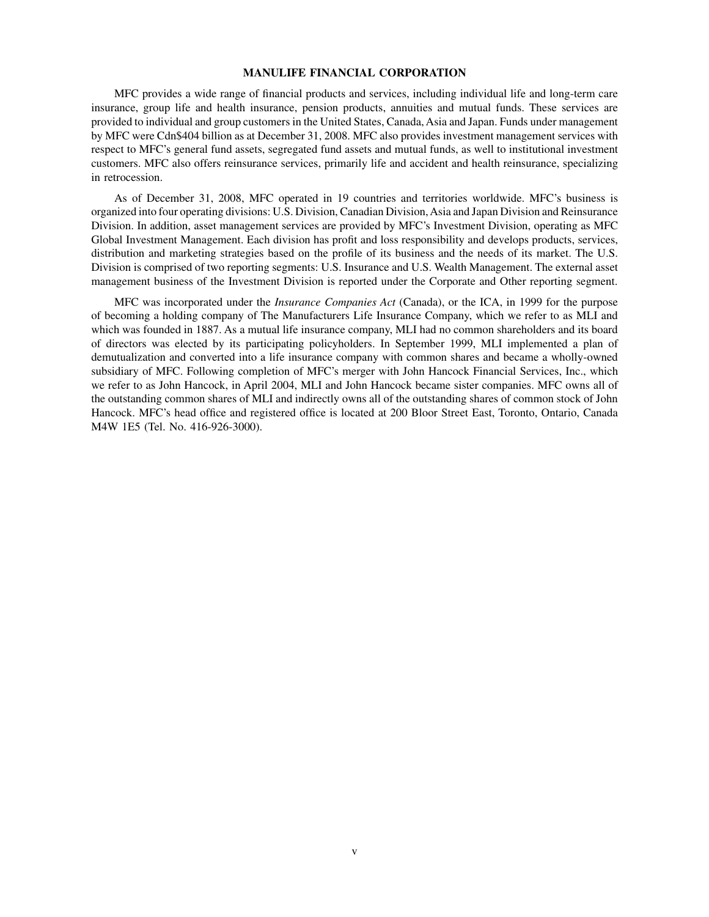# **MANULIFE FINANCIAL CORPORATION**

MFC provides a wide range of financial products and services, including individual life and long-term care insurance, group life and health insurance, pension products, annuities and mutual funds. These services are provided to individual and group customers in the United States, Canada, Asia and Japan. Funds under management by MFC were Cdn\$404 billion as at December 31, 2008. MFC also provides investment management services with respect to MFC's general fund assets, segregated fund assets and mutual funds, as well to institutional investment customers. MFC also offers reinsurance services, primarily life and accident and health reinsurance, specializing in retrocession.

As of December 31, 2008, MFC operated in 19 countries and territories worldwide. MFC's business is organized into four operating divisions: U.S. Division, Canadian Division, Asia and Japan Division and Reinsurance Division. In addition, asset management services are provided by MFC's Investment Division, operating as MFC Global Investment Management. Each division has profit and loss responsibility and develops products, services, distribution and marketing strategies based on the profile of its business and the needs of its market. The U.S. Division is comprised of two reporting segments: U.S. Insurance and U.S. Wealth Management. The external asset management business of the Investment Division is reported under the Corporate and Other reporting segment.

MFC was incorporated under the *Insurance Companies Act* (Canada), or the ICA, in 1999 for the purpose of becoming a holding company of The Manufacturers Life Insurance Company, which we refer to as MLI and which was founded in 1887. As a mutual life insurance company, MLI had no common shareholders and its board of directors was elected by its participating policyholders. In September 1999, MLI implemented a plan of demutualization and converted into a life insurance company with common shares and became a wholly-owned subsidiary of MFC. Following completion of MFC's merger with John Hancock Financial Services, Inc., which we refer to as John Hancock, in April 2004, MLI and John Hancock became sister companies. MFC owns all of the outstanding common shares of MLI and indirectly owns all of the outstanding shares of common stock of John Hancock. MFC's head office and registered office is located at 200 Bloor Street East, Toronto, Ontario, Canada M4W 1E5 (Tel. No. 416-926-3000).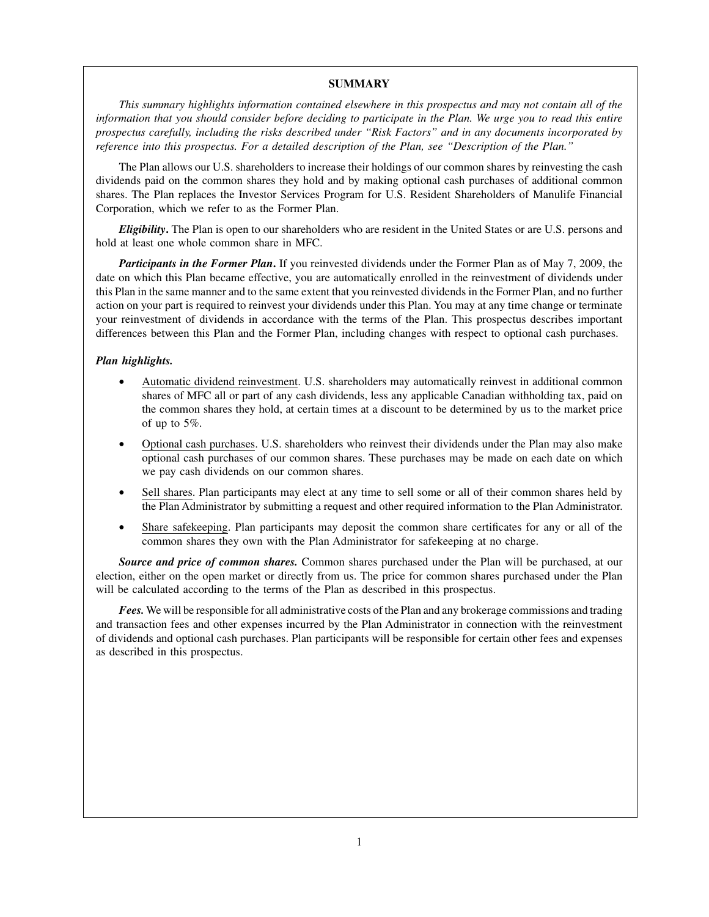# **SUMMARY**

*This summary highlights information contained elsewhere in this prospectus and may not contain all of the information that you should consider before deciding to participate in the Plan. We urge you to read this entire prospectus carefully, including the risks described under "Risk Factors" and in any documents incorporated by reference into this prospectus. For a detailed description of the Plan, see "Description of the Plan."*

The Plan allows our U.S. shareholders to increase their holdings of our common shares by reinvesting the cash dividends paid on the common shares they hold and by making optional cash purchases of additional common shares. The Plan replaces the Investor Services Program for U.S. Resident Shareholders of Manulife Financial Corporation, which we refer to as the Former Plan.

*Eligibility***.** The Plan is open to our shareholders who are resident in the United States or are U.S. persons and hold at least one whole common share in MFC.

*Participants in the Former Plan***.** If you reinvested dividends under the Former Plan as of May 7, 2009, the date on which this Plan became effective, you are automatically enrolled in the reinvestment of dividends under this Plan in the same manner and to the same extent that you reinvested dividends in the Former Plan, and no further action on your part is required to reinvest your dividends under this Plan. You may at any time change or terminate your reinvestment of dividends in accordance with the terms of the Plan. This prospectus describes important differences between this Plan and the Former Plan, including changes with respect to optional cash purchases.

# *Plan highlights.*

- Automatic dividend reinvestment. U.S. shareholders may automatically reinvest in additional common shares of MFC all or part of any cash dividends, less any applicable Canadian withholding tax, paid on the common shares they hold, at certain times at a discount to be determined by us to the market price of up to 5%.
- Optional cash purchases. U.S. shareholders who reinvest their dividends under the Plan may also make optional cash purchases of our common shares. These purchases may be made on each date on which we pay cash dividends on our common shares.
- Sell shares. Plan participants may elect at any time to sell some or all of their common shares held by the Plan Administrator by submitting a request and other required information to the Plan Administrator.
- Share safekeeping. Plan participants may deposit the common share certificates for any or all of the common shares they own with the Plan Administrator for safekeeping at no charge.

*Source and price of common shares.* Common shares purchased under the Plan will be purchased, at our election, either on the open market or directly from us. The price for common shares purchased under the Plan will be calculated according to the terms of the Plan as described in this prospectus.

*Fees.*We will be responsible for all administrative costs of the Plan and any brokerage commissions and trading and transaction fees and other expenses incurred by the Plan Administrator in connection with the reinvestment of dividends and optional cash purchases. Plan participants will be responsible for certain other fees and expenses as described in this prospectus.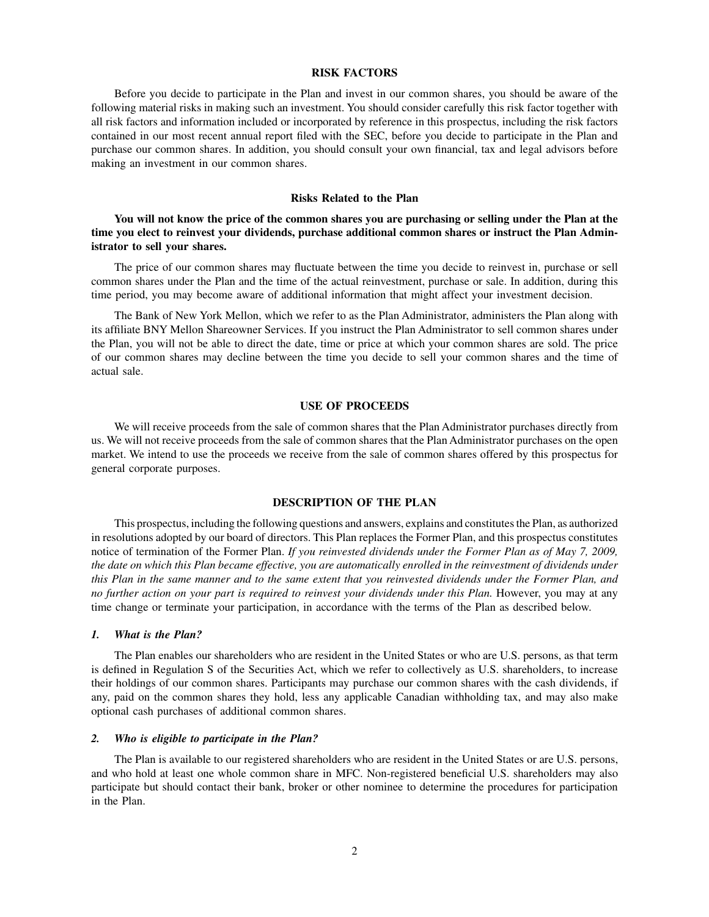#### **RISK FACTORS**

Before you decide to participate in the Plan and invest in our common shares, you should be aware of the following material risks in making such an investment. You should consider carefully this risk factor together with all risk factors and information included or incorporated by reference in this prospectus, including the risk factors contained in our most recent annual report filed with the SEC, before you decide to participate in the Plan and purchase our common shares. In addition, you should consult your own financial, tax and legal advisors before making an investment in our common shares.

# **Risks Related to the Plan**

**You will not know the price of the common shares you are purchasing or selling under the Plan at the time you elect to reinvest your dividends, purchase additional common shares or instruct the Plan Administrator to sell your shares.**

The price of our common shares may fluctuate between the time you decide to reinvest in, purchase or sell common shares under the Plan and the time of the actual reinvestment, purchase or sale. In addition, during this time period, you may become aware of additional information that might affect your investment decision.

The Bank of New York Mellon, which we refer to as the Plan Administrator, administers the Plan along with its affiliate BNY Mellon Shareowner Services. If you instruct the Plan Administrator to sell common shares under the Plan, you will not be able to direct the date, time or price at which your common shares are sold. The price of our common shares may decline between the time you decide to sell your common shares and the time of actual sale.

#### **USE OF PROCEEDS**

We will receive proceeds from the sale of common shares that the Plan Administrator purchases directly from us. We will not receive proceeds from the sale of common shares that the Plan Administrator purchases on the open market. We intend to use the proceeds we receive from the sale of common shares offered by this prospectus for general corporate purposes.

# **DESCRIPTION OF THE PLAN**

This prospectus, including the following questions and answers, explains and constitutes the Plan, as authorized in resolutions adopted by our board of directors. This Plan replaces the Former Plan, and this prospectus constitutes notice of termination of the Former Plan. *If you reinvested dividends under the Former Plan as of May 7, 2009, the date on which this Plan became effective, you are automatically enrolled in the reinvestment of dividends under this Plan in the same manner and to the same extent that you reinvested dividends under the Former Plan, and no further action on your part is required to reinvest your dividends under this Plan.* However, you may at any time change or terminate your participation, in accordance with the terms of the Plan as described below.

#### *1. What is the Plan?*

The Plan enables our shareholders who are resident in the United States or who are U.S. persons, as that term is defined in Regulation S of the Securities Act, which we refer to collectively as U.S. shareholders, to increase their holdings of our common shares. Participants may purchase our common shares with the cash dividends, if any, paid on the common shares they hold, less any applicable Canadian withholding tax, and may also make optional cash purchases of additional common shares.

# *2. Who is eligible to participate in the Plan?*

The Plan is available to our registered shareholders who are resident in the United States or are U.S. persons, and who hold at least one whole common share in MFC. Non-registered beneficial U.S. shareholders may also participate but should contact their bank, broker or other nominee to determine the procedures for participation in the Plan.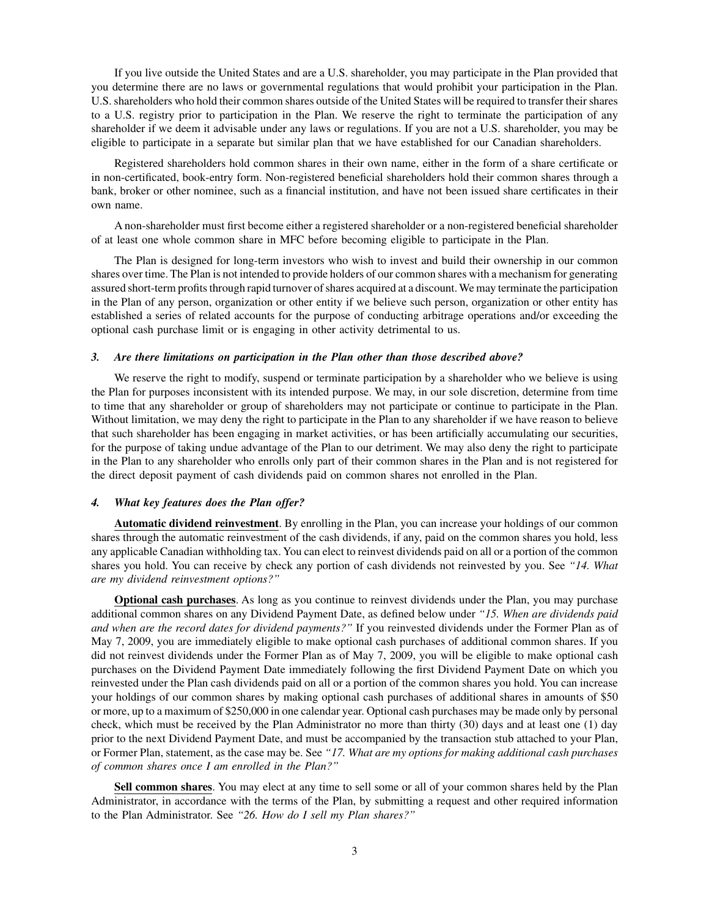If you live outside the United States and are a U.S. shareholder, you may participate in the Plan provided that you determine there are no laws or governmental regulations that would prohibit your participation in the Plan. U.S. shareholders who hold their common shares outside of the United States will be required to transfer their shares to a U.S. registry prior to participation in the Plan. We reserve the right to terminate the participation of any shareholder if we deem it advisable under any laws or regulations. If you are not a U.S. shareholder, you may be eligible to participate in a separate but similar plan that we have established for our Canadian shareholders.

Registered shareholders hold common shares in their own name, either in the form of a share certificate or in non-certificated, book-entry form. Non-registered beneficial shareholders hold their common shares through a bank, broker or other nominee, such as a financial institution, and have not been issued share certificates in their own name.

A non-shareholder must first become either a registered shareholder or a non-registered beneficial shareholder of at least one whole common share in MFC before becoming eligible to participate in the Plan.

The Plan is designed for long-term investors who wish to invest and build their ownership in our common shares over time. The Plan is not intended to provide holders of our common shares with a mechanism for generating assured short-term profits through rapid turnover of shares acquired at a discount.We may terminate the participation in the Plan of any person, organization or other entity if we believe such person, organization or other entity has established a series of related accounts for the purpose of conducting arbitrage operations and/or exceeding the optional cash purchase limit or is engaging in other activity detrimental to us.

## *3. Are there limitations on participation in the Plan other than those described above?*

We reserve the right to modify, suspend or terminate participation by a shareholder who we believe is using the Plan for purposes inconsistent with its intended purpose. We may, in our sole discretion, determine from time to time that any shareholder or group of shareholders may not participate or continue to participate in the Plan. Without limitation, we may deny the right to participate in the Plan to any shareholder if we have reason to believe that such shareholder has been engaging in market activities, or has been artificially accumulating our securities, for the purpose of taking undue advantage of the Plan to our detriment. We may also deny the right to participate in the Plan to any shareholder who enrolls only part of their common shares in the Plan and is not registered for the direct deposit payment of cash dividends paid on common shares not enrolled in the Plan.

#### *4. What key features does the Plan offer?*

**Automatic dividend reinvestment**. By enrolling in the Plan, you can increase your holdings of our common shares through the automatic reinvestment of the cash dividends, if any, paid on the common shares you hold, less any applicable Canadian withholding tax. You can elect to reinvest dividends paid on all or a portion of the common shares you hold. You can receive by check any portion of cash dividends not reinvested by you. See *"14. What are my dividend reinvestment options?"*

**Optional cash purchases**. As long as you continue to reinvest dividends under the Plan, you may purchase additional common shares on any Dividend Payment Date, as defined below under *"15. When are dividends paid and when are the record dates for dividend payments?"* If you reinvested dividends under the Former Plan as of May 7, 2009, you are immediately eligible to make optional cash purchases of additional common shares. If you did not reinvest dividends under the Former Plan as of May 7, 2009, you will be eligible to make optional cash purchases on the Dividend Payment Date immediately following the first Dividend Payment Date on which you reinvested under the Plan cash dividends paid on all or a portion of the common shares you hold. You can increase your holdings of our common shares by making optional cash purchases of additional shares in amounts of \$50 or more, up to a maximum of \$250,000 in one calendar year. Optional cash purchases may be made only by personal check, which must be received by the Plan Administrator no more than thirty (30) days and at least one (1) day prior to the next Dividend Payment Date, and must be accompanied by the transaction stub attached to your Plan, or Former Plan, statement, as the case may be. See *"17. What are my options for making additional cash purchases of common shares once I am enrolled in the Plan?"*

**Sell common shares**. You may elect at any time to sell some or all of your common shares held by the Plan Administrator, in accordance with the terms of the Plan, by submitting a request and other required information to the Plan Administrator. See *"26. How do I sell my Plan shares?"*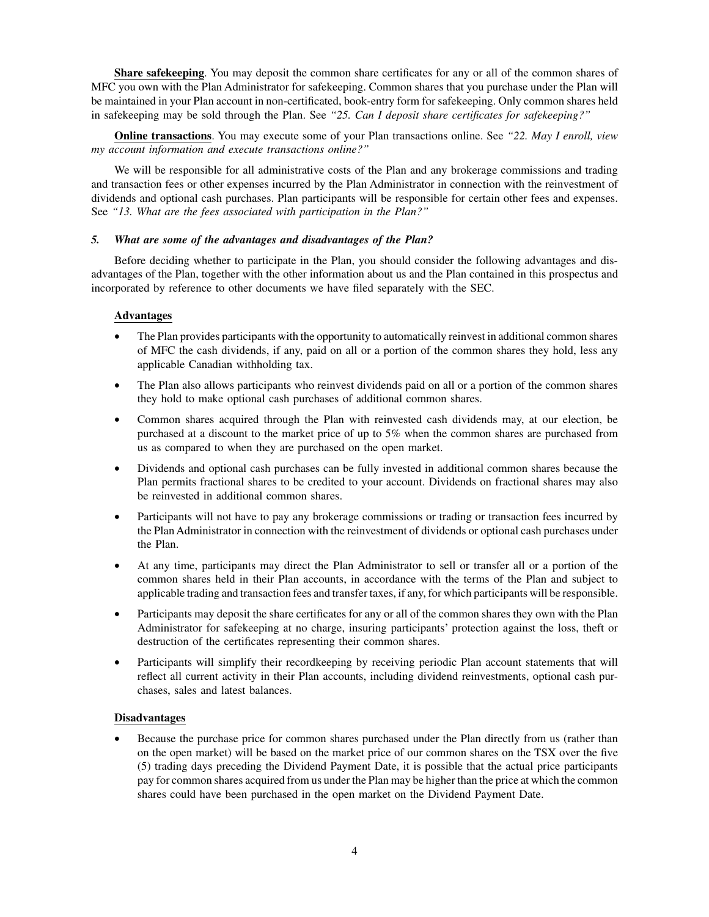**Share safekeeping**. You may deposit the common share certificates for any or all of the common shares of MFC you own with the Plan Administrator for safekeeping. Common shares that you purchase under the Plan will be maintained in your Plan account in non-certificated, book-entry form for safekeeping. Only common shares held in safekeeping may be sold through the Plan. See *"25. Can I deposit share certificates for safekeeping?"*

**Online transactions**. You may execute some of your Plan transactions online. See *"22. May I enroll, view my account information and execute transactions online?"*

We will be responsible for all administrative costs of the Plan and any brokerage commissions and trading and transaction fees or other expenses incurred by the Plan Administrator in connection with the reinvestment of dividends and optional cash purchases. Plan participants will be responsible for certain other fees and expenses. See *"13. What are the fees associated with participation in the Plan?"*

# *5. What are some of the advantages and disadvantages of the Plan?*

Before deciding whether to participate in the Plan, you should consider the following advantages and disadvantages of the Plan, together with the other information about us and the Plan contained in this prospectus and incorporated by reference to other documents we have filed separately with the SEC.

# **Advantages**

- The Plan provides participants with the opportunity to automatically reinvest in additional common shares of MFC the cash dividends, if any, paid on all or a portion of the common shares they hold, less any applicable Canadian withholding tax.
- The Plan also allows participants who reinvest dividends paid on all or a portion of the common shares they hold to make optional cash purchases of additional common shares.
- Common shares acquired through the Plan with reinvested cash dividends may, at our election, be purchased at a discount to the market price of up to 5% when the common shares are purchased from us as compared to when they are purchased on the open market.
- Dividends and optional cash purchases can be fully invested in additional common shares because the Plan permits fractional shares to be credited to your account. Dividends on fractional shares may also be reinvested in additional common shares.
- Participants will not have to pay any brokerage commissions or trading or transaction fees incurred by the Plan Administrator in connection with the reinvestment of dividends or optional cash purchases under the Plan.
- At any time, participants may direct the Plan Administrator to sell or transfer all or a portion of the common shares held in their Plan accounts, in accordance with the terms of the Plan and subject to applicable trading and transaction fees and transfer taxes, if any, for which participants will be responsible.
- Participants may deposit the share certificates for any or all of the common shares they own with the Plan Administrator for safekeeping at no charge, insuring participants' protection against the loss, theft or destruction of the certificates representing their common shares.
- Participants will simplify their recordkeeping by receiving periodic Plan account statements that will reflect all current activity in their Plan accounts, including dividend reinvestments, optional cash purchases, sales and latest balances.

# **Disadvantages**

Because the purchase price for common shares purchased under the Plan directly from us (rather than on the open market) will be based on the market price of our common shares on the TSX over the five (5) trading days preceding the Dividend Payment Date, it is possible that the actual price participants pay for common shares acquired from us under the Plan may be higher than the price at which the common shares could have been purchased in the open market on the Dividend Payment Date.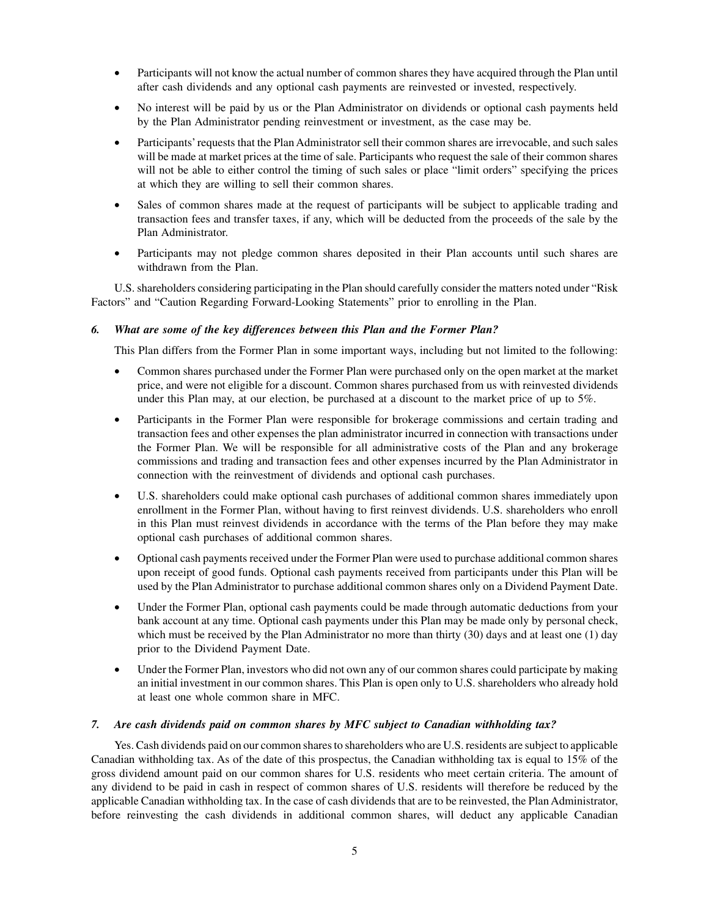- Participants will not know the actual number of common shares they have acquired through the Plan until after cash dividends and any optional cash payments are reinvested or invested, respectively.
- No interest will be paid by us or the Plan Administrator on dividends or optional cash payments held by the Plan Administrator pending reinvestment or investment, as the case may be.
- Participants' requests that the Plan Administrator sell their common shares are irrevocable, and such sales will be made at market prices at the time of sale. Participants who request the sale of their common shares will not be able to either control the timing of such sales or place "limit orders" specifying the prices at which they are willing to sell their common shares.
- Sales of common shares made at the request of participants will be subject to applicable trading and transaction fees and transfer taxes, if any, which will be deducted from the proceeds of the sale by the Plan Administrator.
- Participants may not pledge common shares deposited in their Plan accounts until such shares are withdrawn from the Plan.

U.S. shareholders considering participating in the Plan should carefully consider the matters noted under "Risk Factors" and "Caution Regarding Forward-Looking Statements" prior to enrolling in the Plan.

# *6. What are some of the key differences between this Plan and the Former Plan?*

This Plan differs from the Former Plan in some important ways, including but not limited to the following:

- Common shares purchased under the Former Plan were purchased only on the open market at the market price, and were not eligible for a discount. Common shares purchased from us with reinvested dividends under this Plan may, at our election, be purchased at a discount to the market price of up to 5%.
- Participants in the Former Plan were responsible for brokerage commissions and certain trading and transaction fees and other expenses the plan administrator incurred in connection with transactions under the Former Plan. We will be responsible for all administrative costs of the Plan and any brokerage commissions and trading and transaction fees and other expenses incurred by the Plan Administrator in connection with the reinvestment of dividends and optional cash purchases.
- U.S. shareholders could make optional cash purchases of additional common shares immediately upon enrollment in the Former Plan, without having to first reinvest dividends. U.S. shareholders who enroll in this Plan must reinvest dividends in accordance with the terms of the Plan before they may make optional cash purchases of additional common shares.
- Optional cash payments received under the Former Plan were used to purchase additional common shares upon receipt of good funds. Optional cash payments received from participants under this Plan will be used by the Plan Administrator to purchase additional common shares only on a Dividend Payment Date.
- Under the Former Plan, optional cash payments could be made through automatic deductions from your bank account at any time. Optional cash payments under this Plan may be made only by personal check, which must be received by the Plan Administrator no more than thirty (30) days and at least one (1) day prior to the Dividend Payment Date.
- Under the Former Plan, investors who did not own any of our common shares could participate by making an initial investment in our common shares. This Plan is open only to U.S. shareholders who already hold at least one whole common share in MFC.

# *7. Are cash dividends paid on common shares by MFC subject to Canadian withholding tax?*

Yes. Cash dividends paid on our common shares to shareholders who are U.S. residents are subject to applicable Canadian withholding tax. As of the date of this prospectus, the Canadian withholding tax is equal to 15% of the gross dividend amount paid on our common shares for U.S. residents who meet certain criteria. The amount of any dividend to be paid in cash in respect of common shares of U.S. residents will therefore be reduced by the applicable Canadian withholding tax. In the case of cash dividends that are to be reinvested, the Plan Administrator, before reinvesting the cash dividends in additional common shares, will deduct any applicable Canadian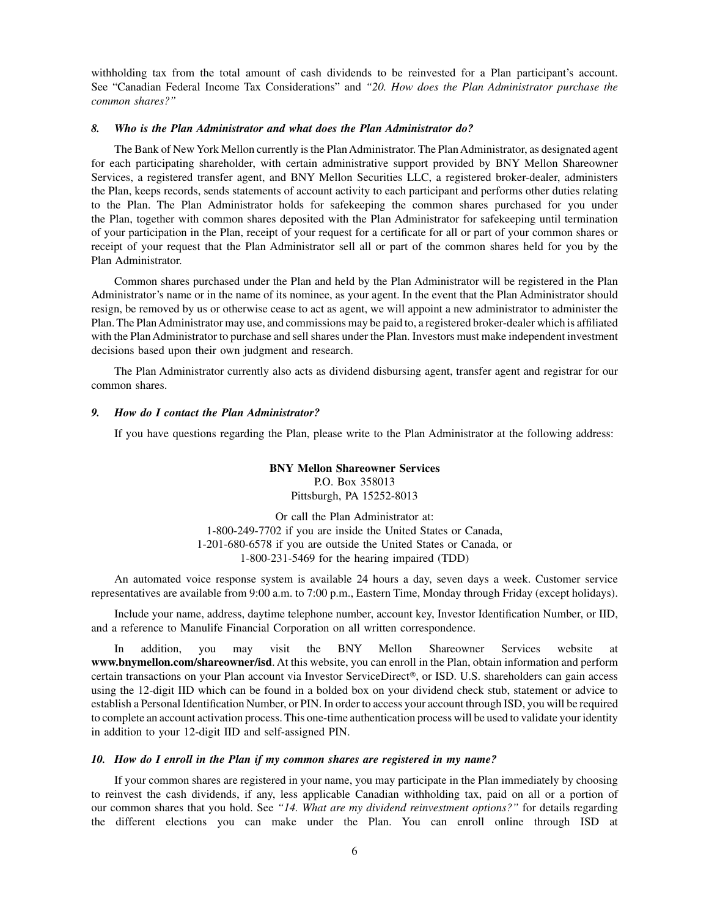withholding tax from the total amount of cash dividends to be reinvested for a Plan participant's account. See "Canadian Federal Income Tax Considerations" and *"20. How does the Plan Administrator purchase the common shares?"*

#### *8. Who is the Plan Administrator and what does the Plan Administrator do?*

The Bank of New York Mellon currently is the Plan Administrator. The Plan Administrator, as designated agent for each participating shareholder, with certain administrative support provided by BNY Mellon Shareowner Services, a registered transfer agent, and BNY Mellon Securities LLC, a registered broker-dealer, administers the Plan, keeps records, sends statements of account activity to each participant and performs other duties relating to the Plan. The Plan Administrator holds for safekeeping the common shares purchased for you under the Plan, together with common shares deposited with the Plan Administrator for safekeeping until termination of your participation in the Plan, receipt of your request for a certificate for all or part of your common shares or receipt of your request that the Plan Administrator sell all or part of the common shares held for you by the Plan Administrator.

Common shares purchased under the Plan and held by the Plan Administrator will be registered in the Plan Administrator's name or in the name of its nominee, as your agent. In the event that the Plan Administrator should resign, be removed by us or otherwise cease to act as agent, we will appoint a new administrator to administer the Plan. The Plan Administrator may use, and commissions may be paid to, a registered broker-dealer which is affiliated with the Plan Administrator to purchase and sell shares under the Plan. Investors must make independent investment decisions based upon their own judgment and research.

The Plan Administrator currently also acts as dividend disbursing agent, transfer agent and registrar for our common shares.

#### *9. How do I contact the Plan Administrator?*

If you have questions regarding the Plan, please write to the Plan Administrator at the following address:

**BNY Mellon Shareowner Services** P.O. Box 358013 Pittsburgh, PA 15252-8013

Or call the Plan Administrator at: 1-800-249-7702 if you are inside the United States or Canada, 1-201-680-6578 if you are outside the United States or Canada, or 1-800-231-5469 for the hearing impaired (TDD)

An automated voice response system is available 24 hours a day, seven days a week. Customer service representatives are available from 9:00 a.m. to 7:00 p.m., Eastern Time, Monday through Friday (except holidays).

Include your name, address, daytime telephone number, account key, Investor Identification Number, or IID, and a reference to Manulife Financial Corporation on all written correspondence.

In addition, you may visit the BNY Mellon Shareowner Services website at **[www.bnymellon.com/shareowner/isd](http://www.bnymellon.com/shareowner/isd.At)**. At this website, you can enroll in the Plan, obtain information and perform certain transactions on your Plan account via Investor ServiceDirect®, or ISD. U.S. shareholders can gain access using the 12-digit IID which can be found in a bolded box on your dividend check stub, statement or advice to establish a Personal Identification Number, or PIN. In order to access your account through ISD, you will be required to complete an account activation process. This one-time authentication process will be used to validate your identity in addition to your 12-digit IID and self-assigned PIN.

#### *10. How do I enroll in the Plan if my common shares are registered in my name?*

If your common shares are registered in your name, you may participate in the Plan immediately by choosing to reinvest the cash dividends, if any, less applicable Canadian withholding tax, paid on all or a portion of our common shares that you hold. See *"14. What are my dividend reinvestment options?"* for details regarding the different elections you can make under the Plan. You can enroll online through ISD at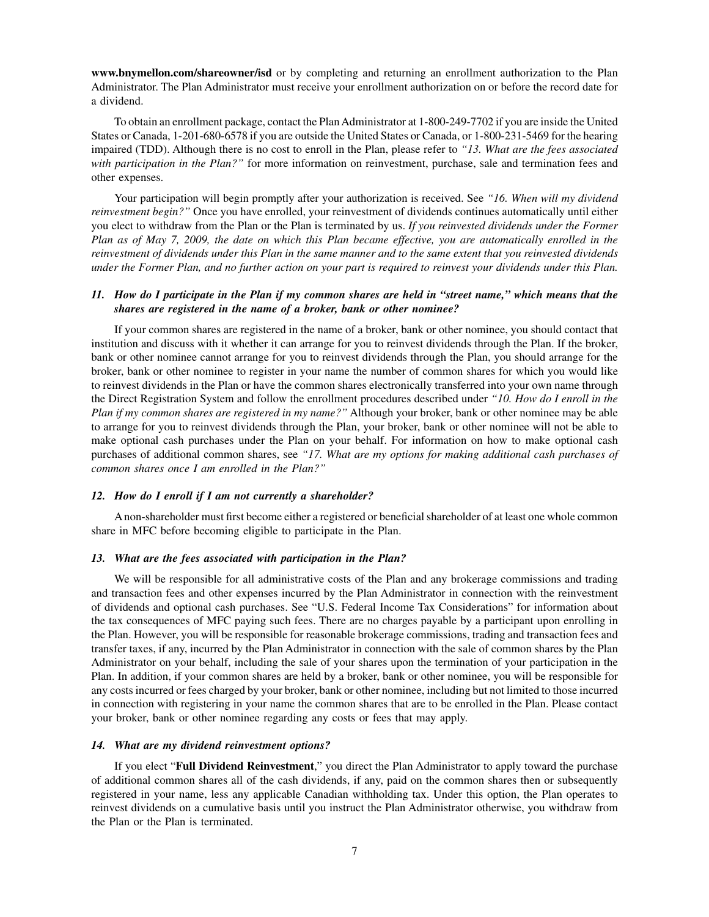**[www.bnymellon.com/shareowner/isd](http://www.bnymellon.com/shareowner/isd)** or by completing and returning an enrollment authorization to the Plan Administrator. The Plan Administrator must receive your enrollment authorization on or before the record date for a dividend.

To obtain an enrollment package, contact the Plan Administrator at 1-800-249-7702 if you are inside the United States or Canada, 1-201-680-6578 if you are outside the United States or Canada, or 1-800-231-5469 for the hearing impaired (TDD). Although there is no cost to enroll in the Plan, please refer to *"13. What are the fees associated with participation in the Plan?"* for more information on reinvestment, purchase, sale and termination fees and other expenses.

Your participation will begin promptly after your authorization is received. See *"16. When will my dividend reinvestment begin?"* Once you have enrolled, your reinvestment of dividends continues automatically until either you elect to withdraw from the Plan or the Plan is terminated by us. *If you reinvested dividends under the Former Plan as of May 7, 2009, the date on which this Plan became effective, you are automatically enrolled in the reinvestment of dividends under this Plan in the same manner and to the same extent that you reinvested dividends under the Former Plan, and no further action on your part is required to reinvest your dividends under this Plan.*

# *11. How do I participate in the Plan if my common shares are held in "street name," which means that the shares are registered in the name of a broker, bank or other nominee?*

If your common shares are registered in the name of a broker, bank or other nominee, you should contact that institution and discuss with it whether it can arrange for you to reinvest dividends through the Plan. If the broker, bank or other nominee cannot arrange for you to reinvest dividends through the Plan, you should arrange for the broker, bank or other nominee to register in your name the number of common shares for which you would like to reinvest dividends in the Plan or have the common shares electronically transferred into your own name through the Direct Registration System and follow the enrollment procedures described under *"10. How do I enroll in the Plan if my common shares are registered in my name?"* Although your broker, bank or other nominee may be able to arrange for you to reinvest dividends through the Plan, your broker, bank or other nominee will not be able to make optional cash purchases under the Plan on your behalf. For information on how to make optional cash purchases of additional common shares, see *"17. What are my options for making additional cash purchases of common shares once I am enrolled in the Plan?"*

#### *12. How do I enroll if I am not currently a shareholder?*

A non-shareholder must first become either a registered or beneficial shareholder of at least one whole common share in MFC before becoming eligible to participate in the Plan.

#### *13. What are the fees associated with participation in the Plan?*

We will be responsible for all administrative costs of the Plan and any brokerage commissions and trading and transaction fees and other expenses incurred by the Plan Administrator in connection with the reinvestment of dividends and optional cash purchases. See "U.S. Federal Income Tax Considerations" for information about the tax consequences of MFC paying such fees. There are no charges payable by a participant upon enrolling in the Plan. However, you will be responsible for reasonable brokerage commissions, trading and transaction fees and transfer taxes, if any, incurred by the Plan Administrator in connection with the sale of common shares by the Plan Administrator on your behalf, including the sale of your shares upon the termination of your participation in the Plan. In addition, if your common shares are held by a broker, bank or other nominee, you will be responsible for any costs incurred or fees charged by your broker, bank or other nominee, including but not limited to those incurred in connection with registering in your name the common shares that are to be enrolled in the Plan. Please contact your broker, bank or other nominee regarding any costs or fees that may apply.

#### *14. What are my dividend reinvestment options?*

If you elect "**Full Dividend Reinvestment**," you direct the Plan Administrator to apply toward the purchase of additional common shares all of the cash dividends, if any, paid on the common shares then or subsequently registered in your name, less any applicable Canadian withholding tax. Under this option, the Plan operates to reinvest dividends on a cumulative basis until you instruct the Plan Administrator otherwise, you withdraw from the Plan or the Plan is terminated.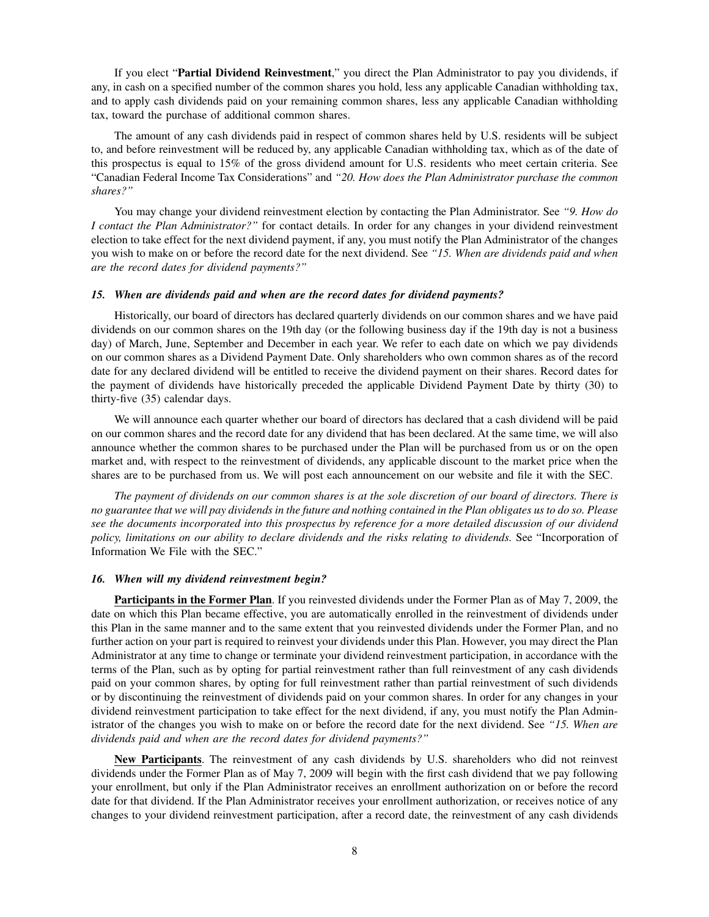If you elect "**Partial Dividend Reinvestment**," you direct the Plan Administrator to pay you dividends, if any, in cash on a specified number of the common shares you hold, less any applicable Canadian withholding tax, and to apply cash dividends paid on your remaining common shares, less any applicable Canadian withholding tax, toward the purchase of additional common shares.

The amount of any cash dividends paid in respect of common shares held by U.S. residents will be subject to, and before reinvestment will be reduced by, any applicable Canadian withholding tax, which as of the date of this prospectus is equal to 15% of the gross dividend amount for U.S. residents who meet certain criteria. See "Canadian Federal Income Tax Considerations" and *"20. How does the Plan Administrator purchase the common shares?"*

You may change your dividend reinvestment election by contacting the Plan Administrator. See *"9. How do I contact the Plan Administrator?"* for contact details. In order for any changes in your dividend reinvestment election to take effect for the next dividend payment, if any, you must notify the Plan Administrator of the changes you wish to make on or before the record date for the next dividend. See *"15. When are dividends paid and when are the record dates for dividend payments?"*

#### *15. When are dividends paid and when are the record dates for dividend payments?*

Historically, our board of directors has declared quarterly dividends on our common shares and we have paid dividends on our common shares on the 19th day (or the following business day if the 19th day is not a business day) of March, June, September and December in each year. We refer to each date on which we pay dividends on our common shares as a Dividend Payment Date. Only shareholders who own common shares as of the record date for any declared dividend will be entitled to receive the dividend payment on their shares. Record dates for the payment of dividends have historically preceded the applicable Dividend Payment Date by thirty (30) to thirty-five (35) calendar days.

We will announce each quarter whether our board of directors has declared that a cash dividend will be paid on our common shares and the record date for any dividend that has been declared. At the same time, we will also announce whether the common shares to be purchased under the Plan will be purchased from us or on the open market and, with respect to the reinvestment of dividends, any applicable discount to the market price when the shares are to be purchased from us. We will post each announcement on our website and file it with the SEC.

*The payment of dividends on our common shares is at the sole discretion of our board of directors. There is no guarantee that we will pay dividends in the future and nothing contained in the Plan obligates us to do so. Please see the documents incorporated into this prospectus by reference for a more detailed discussion of our dividend policy, limitations on our ability to declare dividends and the risks relating to dividends.* See "Incorporation of Information We File with the SEC."

# *16. When will my dividend reinvestment begin?*

**Participants in the Former Plan**. If you reinvested dividends under the Former Plan as of May 7, 2009, the date on which this Plan became effective, you are automatically enrolled in the reinvestment of dividends under this Plan in the same manner and to the same extent that you reinvested dividends under the Former Plan, and no further action on your part is required to reinvest your dividends under this Plan. However, you may direct the Plan Administrator at any time to change or terminate your dividend reinvestment participation, in accordance with the terms of the Plan, such as by opting for partial reinvestment rather than full reinvestment of any cash dividends paid on your common shares, by opting for full reinvestment rather than partial reinvestment of such dividends or by discontinuing the reinvestment of dividends paid on your common shares. In order for any changes in your dividend reinvestment participation to take effect for the next dividend, if any, you must notify the Plan Administrator of the changes you wish to make on or before the record date for the next dividend. See *"15. When are dividends paid and when are the record dates for dividend payments?"*

**New Participants**. The reinvestment of any cash dividends by U.S. shareholders who did not reinvest dividends under the Former Plan as of May 7, 2009 will begin with the first cash dividend that we pay following your enrollment, but only if the Plan Administrator receives an enrollment authorization on or before the record date for that dividend. If the Plan Administrator receives your enrollment authorization, or receives notice of any changes to your dividend reinvestment participation, after a record date, the reinvestment of any cash dividends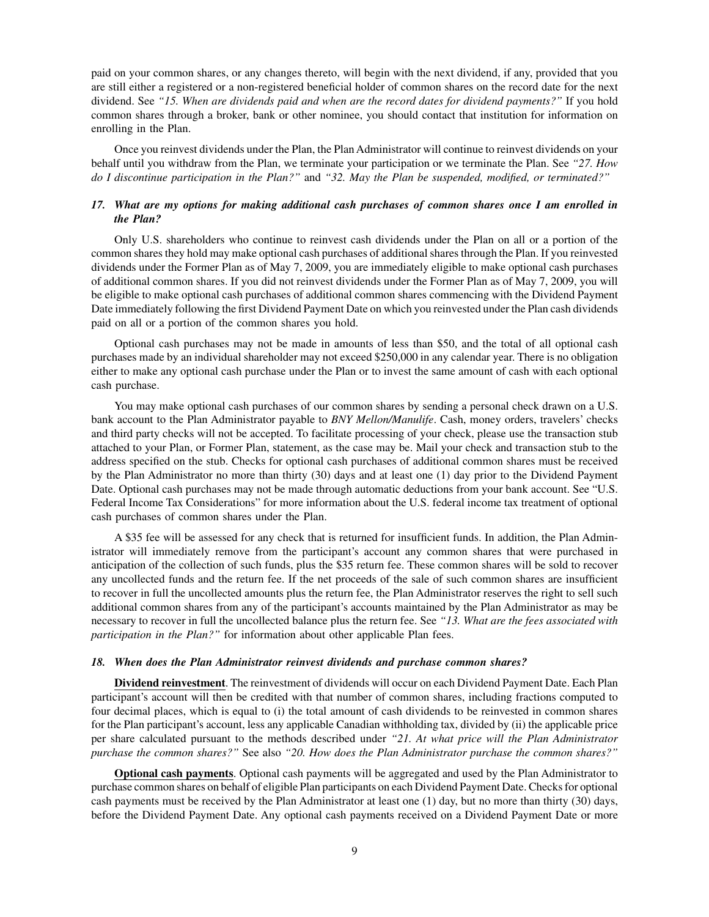paid on your common shares, or any changes thereto, will begin with the next dividend, if any, provided that you are still either a registered or a non-registered beneficial holder of common shares on the record date for the next dividend. See *"15. When are dividends paid and when are the record dates for dividend payments?"* If you hold common shares through a broker, bank or other nominee, you should contact that institution for information on enrolling in the Plan.

Once you reinvest dividends under the Plan, the Plan Administrator will continue to reinvest dividends on your behalf until you withdraw from the Plan, we terminate your participation or we terminate the Plan. See *"27. How do I discontinue participation in the Plan?"* and *"32. May the Plan be suspended, modified, or terminated?"*

# *17. What are my options for making additional cash purchases of common shares once I am enrolled in the Plan?*

Only U.S. shareholders who continue to reinvest cash dividends under the Plan on all or a portion of the common shares they hold may make optional cash purchases of additional shares through the Plan. If you reinvested dividends under the Former Plan as of May 7, 2009, you are immediately eligible to make optional cash purchases of additional common shares. If you did not reinvest dividends under the Former Plan as of May 7, 2009, you will be eligible to make optional cash purchases of additional common shares commencing with the Dividend Payment Date immediately following the first Dividend Payment Date on which you reinvested under the Plan cash dividends paid on all or a portion of the common shares you hold.

Optional cash purchases may not be made in amounts of less than \$50, and the total of all optional cash purchases made by an individual shareholder may not exceed \$250,000 in any calendar year. There is no obligation either to make any optional cash purchase under the Plan or to invest the same amount of cash with each optional cash purchase.

You may make optional cash purchases of our common shares by sending a personal check drawn on a U.S. bank account to the Plan Administrator payable to *BNY Mellon/Manulife*. Cash, money orders, travelers' checks and third party checks will not be accepted. To facilitate processing of your check, please use the transaction stub attached to your Plan, or Former Plan, statement, as the case may be. Mail your check and transaction stub to the address specified on the stub. Checks for optional cash purchases of additional common shares must be received by the Plan Administrator no more than thirty (30) days and at least one (1) day prior to the Dividend Payment Date. Optional cash purchases may not be made through automatic deductions from your bank account. See "U.S. Federal Income Tax Considerations" for more information about the U.S. federal income tax treatment of optional cash purchases of common shares under the Plan.

A \$35 fee will be assessed for any check that is returned for insufficient funds. In addition, the Plan Administrator will immediately remove from the participant's account any common shares that were purchased in anticipation of the collection of such funds, plus the \$35 return fee. These common shares will be sold to recover any uncollected funds and the return fee. If the net proceeds of the sale of such common shares are insufficient to recover in full the uncollected amounts plus the return fee, the Plan Administrator reserves the right to sell such additional common shares from any of the participant's accounts maintained by the Plan Administrator as may be necessary to recover in full the uncollected balance plus the return fee. See *"13. What are the fees associated with participation in the Plan?"* for information about other applicable Plan fees.

#### *18. When does the Plan Administrator reinvest dividends and purchase common shares?*

**Dividend reinvestment**. The reinvestment of dividends will occur on each Dividend Payment Date. Each Plan participant's account will then be credited with that number of common shares, including fractions computed to four decimal places, which is equal to (i) the total amount of cash dividends to be reinvested in common shares for the Plan participant's account, less any applicable Canadian withholding tax, divided by (ii) the applicable price per share calculated pursuant to the methods described under *"21. At what price will the Plan Administrator purchase the common shares?"* See also *"20. How does the Plan Administrator purchase the common shares?"*

**Optional cash payments**. Optional cash payments will be aggregated and used by the Plan Administrator to purchase common shares on behalf of eligible Plan participants on each Dividend Payment Date. Checks for optional cash payments must be received by the Plan Administrator at least one (1) day, but no more than thirty (30) days, before the Dividend Payment Date. Any optional cash payments received on a Dividend Payment Date or more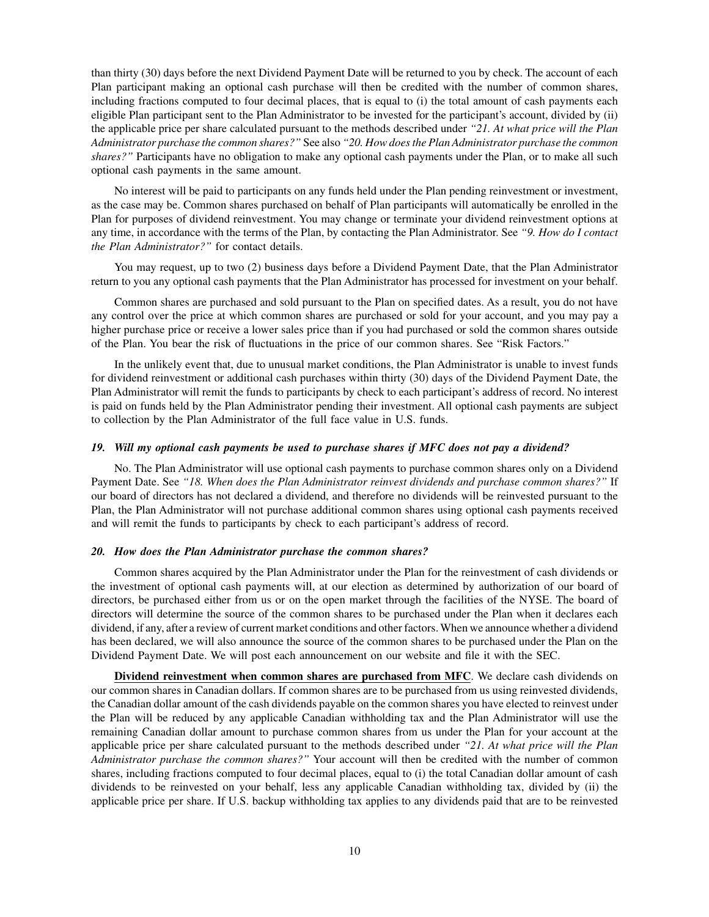than thirty (30) days before the next Dividend Payment Date will be returned to you by check. The account of each Plan participant making an optional cash purchase will then be credited with the number of common shares, including fractions computed to four decimal places, that is equal to (i) the total amount of cash payments each eligible Plan participant sent to the Plan Administrator to be invested for the participant's account, divided by (ii) the applicable price per share calculated pursuant to the methods described under *"21. At what price will the Plan Administrator purchase the common shares?"* See also *"20. How does the Plan Administrator purchase the common shares?"* Participants have no obligation to make any optional cash payments under the Plan, or to make all such optional cash payments in the same amount.

No interest will be paid to participants on any funds held under the Plan pending reinvestment or investment, as the case may be. Common shares purchased on behalf of Plan participants will automatically be enrolled in the Plan for purposes of dividend reinvestment. You may change or terminate your dividend reinvestment options at any time, in accordance with the terms of the Plan, by contacting the Plan Administrator. See *"9. How do I contact the Plan Administrator?"* for contact details.

You may request, up to two (2) business days before a Dividend Payment Date, that the Plan Administrator return to you any optional cash payments that the Plan Administrator has processed for investment on your behalf.

Common shares are purchased and sold pursuant to the Plan on specified dates. As a result, you do not have any control over the price at which common shares are purchased or sold for your account, and you may pay a higher purchase price or receive a lower sales price than if you had purchased or sold the common shares outside of the Plan. You bear the risk of fluctuations in the price of our common shares. See "Risk Factors."

In the unlikely event that, due to unusual market conditions, the Plan Administrator is unable to invest funds for dividend reinvestment or additional cash purchases within thirty (30) days of the Dividend Payment Date, the Plan Administrator will remit the funds to participants by check to each participant's address of record. No interest is paid on funds held by the Plan Administrator pending their investment. All optional cash payments are subject to collection by the Plan Administrator of the full face value in U.S. funds.

#### *19. Will my optional cash payments be used to purchase shares if MFC does not pay a dividend?*

No. The Plan Administrator will use optional cash payments to purchase common shares only on a Dividend Payment Date. See *"18. When does the Plan Administrator reinvest dividends and purchase common shares?"* If our board of directors has not declared a dividend, and therefore no dividends will be reinvested pursuant to the Plan, the Plan Administrator will not purchase additional common shares using optional cash payments received and will remit the funds to participants by check to each participant's address of record.

#### *20. How does the Plan Administrator purchase the common shares?*

Common shares acquired by the Plan Administrator under the Plan for the reinvestment of cash dividends or the investment of optional cash payments will, at our election as determined by authorization of our board of directors, be purchased either from us or on the open market through the facilities of the NYSE. The board of directors will determine the source of the common shares to be purchased under the Plan when it declares each dividend, if any, after a review of current market conditions and other factors.When we announce whether a dividend has been declared, we will also announce the source of the common shares to be purchased under the Plan on the Dividend Payment Date. We will post each announcement on our website and file it with the SEC.

**Dividend reinvestment when common shares are purchased from MFC**. We declare cash dividends on our common shares in Canadian dollars. If common shares are to be purchased from us using reinvested dividends, the Canadian dollar amount of the cash dividends payable on the common shares you have elected to reinvest under the Plan will be reduced by any applicable Canadian withholding tax and the Plan Administrator will use the remaining Canadian dollar amount to purchase common shares from us under the Plan for your account at the applicable price per share calculated pursuant to the methods described under *"21. At what price will the Plan Administrator purchase the common shares?"* Your account will then be credited with the number of common shares, including fractions computed to four decimal places, equal to (i) the total Canadian dollar amount of cash dividends to be reinvested on your behalf, less any applicable Canadian withholding tax, divided by (ii) the applicable price per share. If U.S. backup withholding tax applies to any dividends paid that are to be reinvested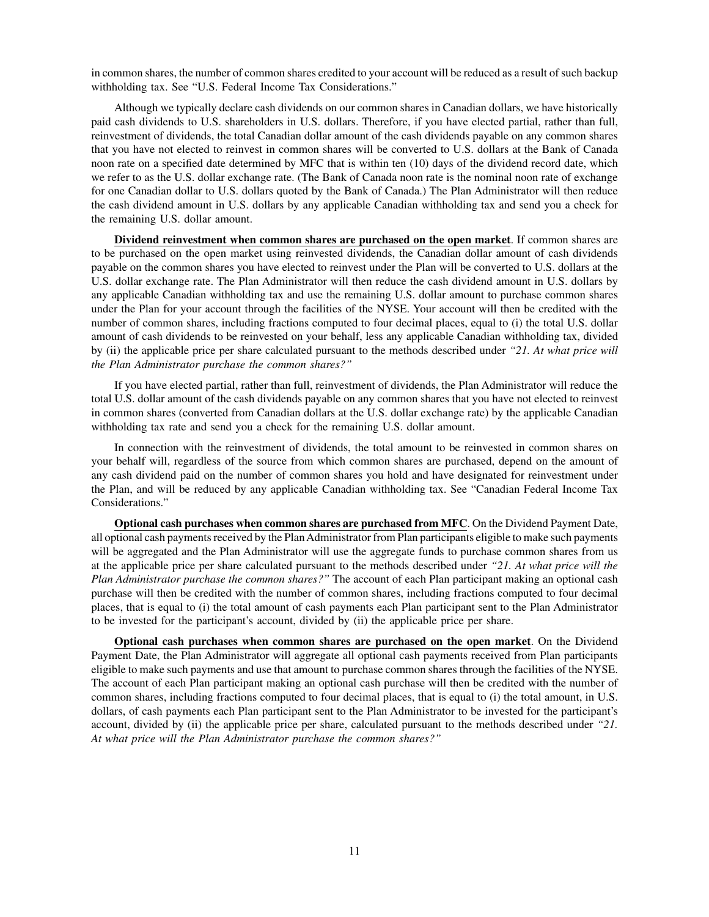in common shares, the number of common shares credited to your account will be reduced as a result of such backup withholding tax. See "U.S. Federal Income Tax Considerations."

Although we typically declare cash dividends on our common shares in Canadian dollars, we have historically paid cash dividends to U.S. shareholders in U.S. dollars. Therefore, if you have elected partial, rather than full, reinvestment of dividends, the total Canadian dollar amount of the cash dividends payable on any common shares that you have not elected to reinvest in common shares will be converted to U.S. dollars at the Bank of Canada noon rate on a specified date determined by MFC that is within ten (10) days of the dividend record date, which we refer to as the U.S. dollar exchange rate. (The Bank of Canada noon rate is the nominal noon rate of exchange for one Canadian dollar to U.S. dollars quoted by the Bank of Canada.) The Plan Administrator will then reduce the cash dividend amount in U.S. dollars by any applicable Canadian withholding tax and send you a check for the remaining U.S. dollar amount.

**Dividend reinvestment when common shares are purchased on the open market**. If common shares are to be purchased on the open market using reinvested dividends, the Canadian dollar amount of cash dividends payable on the common shares you have elected to reinvest under the Plan will be converted to U.S. dollars at the U.S. dollar exchange rate. The Plan Administrator will then reduce the cash dividend amount in U.S. dollars by any applicable Canadian withholding tax and use the remaining U.S. dollar amount to purchase common shares under the Plan for your account through the facilities of the NYSE. Your account will then be credited with the number of common shares, including fractions computed to four decimal places, equal to (i) the total U.S. dollar amount of cash dividends to be reinvested on your behalf, less any applicable Canadian withholding tax, divided by (ii) the applicable price per share calculated pursuant to the methods described under *"21. At what price will the Plan Administrator purchase the common shares?"*

If you have elected partial, rather than full, reinvestment of dividends, the Plan Administrator will reduce the total U.S. dollar amount of the cash dividends payable on any common shares that you have not elected to reinvest in common shares (converted from Canadian dollars at the U.S. dollar exchange rate) by the applicable Canadian withholding tax rate and send you a check for the remaining U.S. dollar amount.

In connection with the reinvestment of dividends, the total amount to be reinvested in common shares on your behalf will, regardless of the source from which common shares are purchased, depend on the amount of any cash dividend paid on the number of common shares you hold and have designated for reinvestment under the Plan, and will be reduced by any applicable Canadian withholding tax. See "Canadian Federal Income Tax Considerations."

**Optional cash purchases when common shares are purchased from MFC**. On the Dividend Payment Date, all optional cash payments received by the PlanAdministrator from Plan participants eligible to make such payments will be aggregated and the Plan Administrator will use the aggregate funds to purchase common shares from us at the applicable price per share calculated pursuant to the methods described under *"21. At what price will the Plan Administrator purchase the common shares?"* The account of each Plan participant making an optional cash purchase will then be credited with the number of common shares, including fractions computed to four decimal places, that is equal to (i) the total amount of cash payments each Plan participant sent to the Plan Administrator to be invested for the participant's account, divided by (ii) the applicable price per share.

**Optional cash purchases when common shares are purchased on the open market**. On the Dividend Payment Date, the Plan Administrator will aggregate all optional cash payments received from Plan participants eligible to make such payments and use that amount to purchase common shares through the facilities of the NYSE. The account of each Plan participant making an optional cash purchase will then be credited with the number of common shares, including fractions computed to four decimal places, that is equal to (i) the total amount, in U.S. dollars, of cash payments each Plan participant sent to the Plan Administrator to be invested for the participant's account, divided by (ii) the applicable price per share, calculated pursuant to the methods described under *"21. At what price will the Plan Administrator purchase the common shares?"*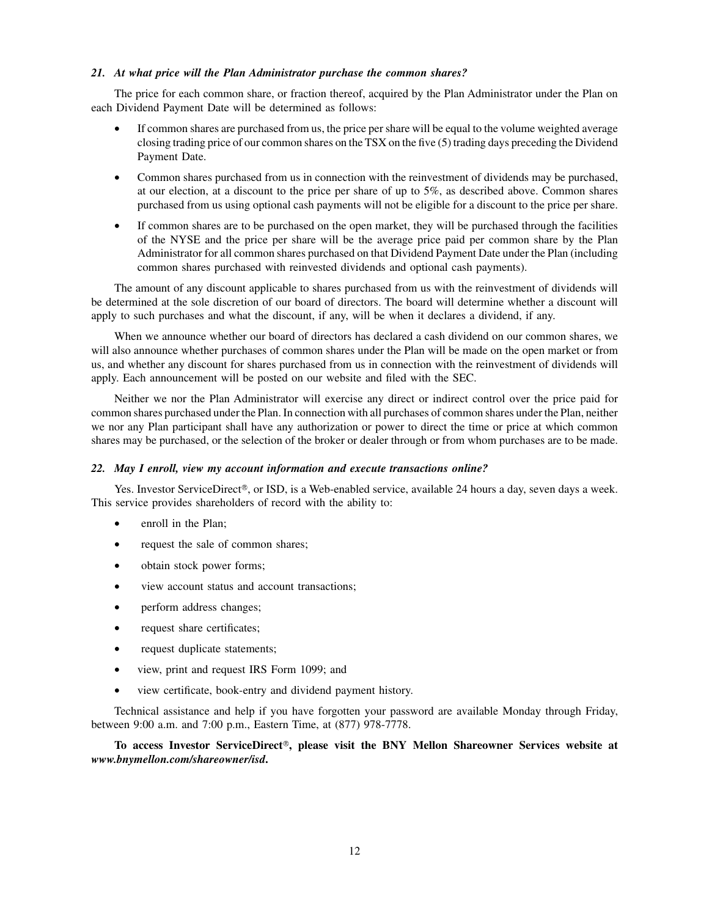# *21. At what price will the Plan Administrator purchase the common shares?*

The price for each common share, or fraction thereof, acquired by the Plan Administrator under the Plan on each Dividend Payment Date will be determined as follows:

- If common shares are purchased from us, the price per share will be equal to the volume weighted average closing trading price of our common shares on the TSX on the five (5) trading days preceding the Dividend Payment Date.
- Common shares purchased from us in connection with the reinvestment of dividends may be purchased, at our election, at a discount to the price per share of up to 5%, as described above. Common shares purchased from us using optional cash payments will not be eligible for a discount to the price per share.
- If common shares are to be purchased on the open market, they will be purchased through the facilities of the NYSE and the price per share will be the average price paid per common share by the Plan Administrator for all common shares purchased on that Dividend Payment Date under the Plan (including common shares purchased with reinvested dividends and optional cash payments).

The amount of any discount applicable to shares purchased from us with the reinvestment of dividends will be determined at the sole discretion of our board of directors. The board will determine whether a discount will apply to such purchases and what the discount, if any, will be when it declares a dividend, if any.

When we announce whether our board of directors has declared a cash dividend on our common shares, we will also announce whether purchases of common shares under the Plan will be made on the open market or from us, and whether any discount for shares purchased from us in connection with the reinvestment of dividends will apply. Each announcement will be posted on our website and filed with the SEC.

Neither we nor the Plan Administrator will exercise any direct or indirect control over the price paid for common shares purchased under the Plan. In connection with all purchases of common shares under the Plan, neither we nor any Plan participant shall have any authorization or power to direct the time or price at which common shares may be purchased, or the selection of the broker or dealer through or from whom purchases are to be made.

#### *22. May I enroll, view my account information and execute transactions online?*

Yes. Investor ServiceDirect®, or ISD, is a Web-enabled service, available 24 hours a day, seven days a week. This service provides shareholders of record with the ability to:

- enroll in the Plan;
- request the sale of common shares;
- obtain stock power forms;
- view account status and account transactions;
- perform address changes;
- request share certificates;
- request duplicate statements;
- view, print and request IRS Form 1099; and
- view certificate, book-entry and dividend payment history.

Technical assistance and help if you have forgotten your password are available Monday through Friday, between 9:00 a.m. and 7:00 p.m., Eastern Time, at (877) 978-7778.

To access Investor ServiceDirect<sup>®</sup>, please visit the BNY Mellon Shareowner Services website at *[www.bnymellon.com/shareowner/isd](http://www.bnymellon.com/shareowner/isd)***.**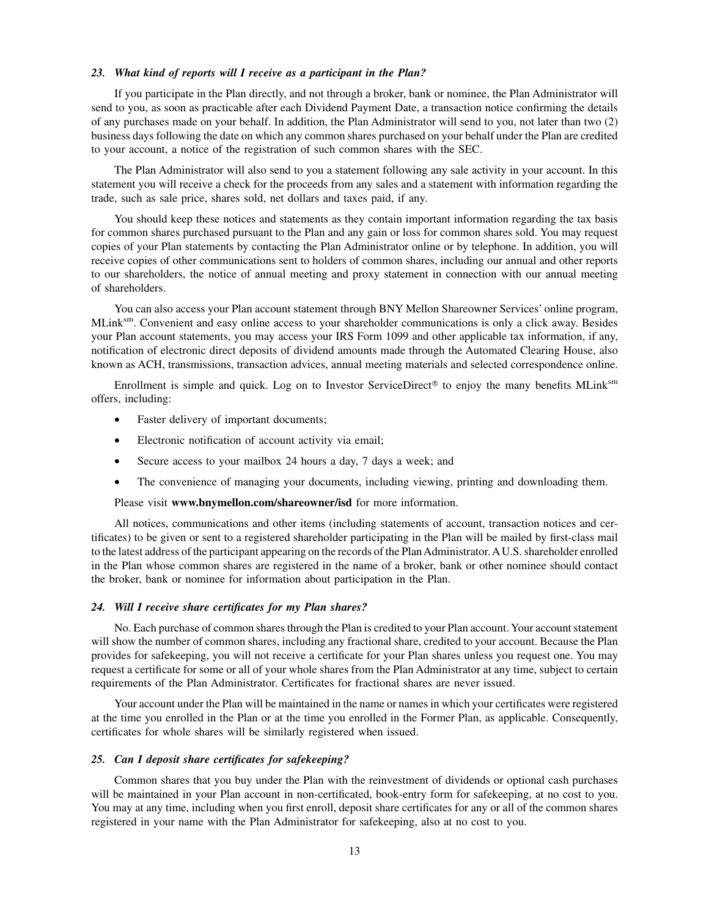#### *23. What kind of reports will I receive as a participant in the Plan?*

If you participate in the Plan directly, and not through a broker, bank or nominee, the Plan Administrator will send to you, as soon as practicable after each Dividend Payment Date, a transaction notice confirming the details of any purchases made on your behalf. In addition, the Plan Administrator will send to you, not later than two (2) business days following the date on which any common shares purchased on your behalf under the Plan are credited to your account, a notice of the registration of such common shares with the SEC.

The Plan Administrator will also send to you a statement following any sale activity in your account. In this statement you will receive a check for the proceeds from any sales and a statement with information regarding the trade, such as sale price, shares sold, net dollars and taxes paid, if any.

You should keep these notices and statements as they contain important information regarding the tax basis for common shares purchased pursuant to the Plan and any gain or loss for common shares sold. You may request copies of your Plan statements by contacting the Plan Administrator online or by telephone. In addition, you will receive copies of other communications sent to holders of common shares, including our annual and other reports to our shareholders, the notice of annual meeting and proxy statement in connection with our annual meeting of shareholders.

You can also access your Plan account statement through BNY Mellon Shareowner Services' online program, MLinksm. Convenient and easy online access to your shareholder communications is only a click away. Besides your Plan account statements, you may access your IRS Form 1099 and other applicable tax information, if any, notification of electronic direct deposits of dividend amounts made through the Automated Clearing House, also known as ACH, transmissions, transaction advices, annual meeting materials and selected correspondence online.

Enrollment is simple and quick. Log on to Investor ServiceDirect<sup>®</sup> to enjoy the many benefits MLink $\mathrm{S}^{\mathrm{sm}}$ offers, including:

- Faster delivery of important documents;
- Electronic notification of account activity via email;
- Secure access to your mailbox 24 hours a day, 7 days a week; and
- The convenience of managing your documents, including viewing, printing and downloading them.

Please visit **[www.bnymellon.com/shareowner/isd](http://www.bnymellon.com/shareowner/isd)** for more information.

All notices, communications and other items (including statements of account, transaction notices and certificates) to be given or sent to a registered shareholder participating in the Plan will be mailed by first-class mail to the latest address of the participant appearing on the records of the PlanAdministrator.AU.S. shareholder enrolled in the Plan whose common shares are registered in the name of a broker, bank or other nominee should contact the broker, bank or nominee for information about participation in the Plan.

#### *24. Will I receive share certificates for my Plan shares?*

No. Each purchase of common shares through the Plan is credited to your Plan account. Your account statement will show the number of common shares, including any fractional share, credited to your account. Because the Plan provides for safekeeping, you will not receive a certificate for your Plan shares unless you request one. You may request a certificate for some or all of your whole shares from the Plan Administrator at any time, subject to certain requirements of the Plan Administrator. Certificates for fractional shares are never issued.

Your account under the Plan will be maintained in the name or names in which your certificates were registered at the time you enrolled in the Plan or at the time you enrolled in the Former Plan, as applicable. Consequently, certificates for whole shares will be similarly registered when issued.

#### *25. Can I deposit share certificates for safekeeping?*

Common shares that you buy under the Plan with the reinvestment of dividends or optional cash purchases will be maintained in your Plan account in non-certificated, book-entry form for safekeeping, at no cost to you. You may at any time, including when you first enroll, deposit share certificates for any or all of the common shares registered in your name with the Plan Administrator for safekeeping, also at no cost to you.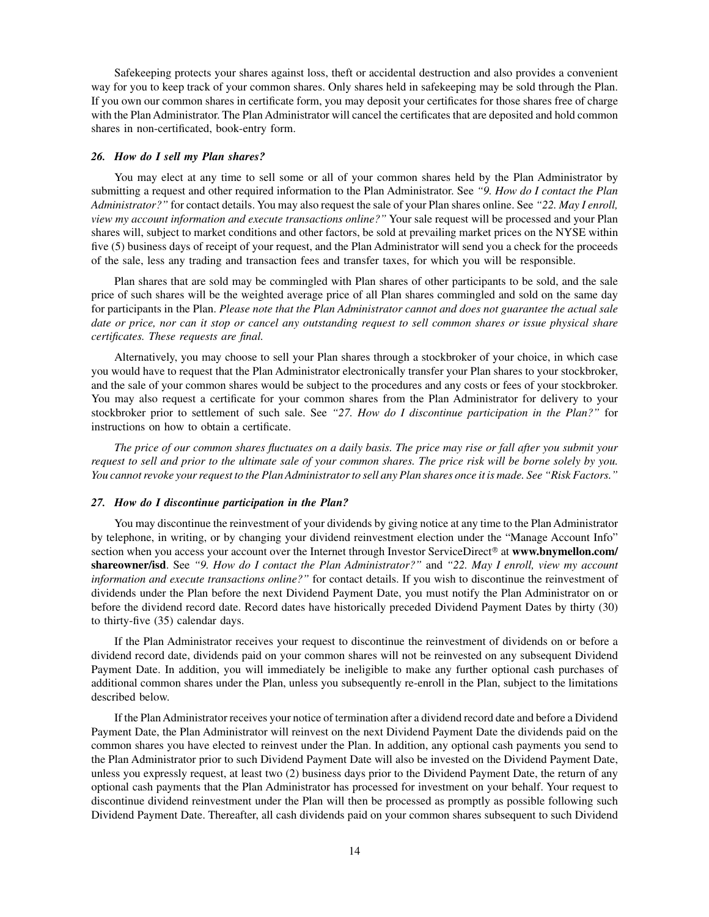Safekeeping protects your shares against loss, theft or accidental destruction and also provides a convenient way for you to keep track of your common shares. Only shares held in safekeeping may be sold through the Plan. If you own our common shares in certificate form, you may deposit your certificates for those shares free of charge with the Plan Administrator. The Plan Administrator will cancel the certificates that are deposited and hold common shares in non-certificated, book-entry form.

#### *26. How do I sell my Plan shares?*

You may elect at any time to sell some or all of your common shares held by the Plan Administrator by submitting a request and other required information to the Plan Administrator. See *"9. How do I contact the Plan Administrator?"* for contact details. You may also request the sale of your Plan shares online. See *"22. May I enroll, view my account information and execute transactions online?"* Your sale request will be processed and your Plan shares will, subject to market conditions and other factors, be sold at prevailing market prices on the NYSE within five (5) business days of receipt of your request, and the Plan Administrator will send you a check for the proceeds of the sale, less any trading and transaction fees and transfer taxes, for which you will be responsible.

Plan shares that are sold may be commingled with Plan shares of other participants to be sold, and the sale price of such shares will be the weighted average price of all Plan shares commingled and sold on the same day for participants in the Plan. *Please note that the Plan Administrator cannot and does not guarantee the actual sale date or price, nor can it stop or cancel any outstanding request to sell common shares or issue physical share certificates. These requests are final.*

Alternatively, you may choose to sell your Plan shares through a stockbroker of your choice, in which case you would have to request that the Plan Administrator electronically transfer your Plan shares to your stockbroker, and the sale of your common shares would be subject to the procedures and any costs or fees of your stockbroker. You may also request a certificate for your common shares from the Plan Administrator for delivery to your stockbroker prior to settlement of such sale. See *"27. How do I discontinue participation in the Plan?"* for instructions on how to obtain a certificate.

*The price of our common shares fluctuates on a daily basis. The price may rise or fall after you submit your request to sell and prior to the ultimate sale of your common shares. The price risk will be borne solely by you. You cannot revoke your request to the Plan Administrator to sell any Plan shares once it is made. See "Risk Factors."*

#### *27. How do I discontinue participation in the Plan?*

You may discontinue the reinvestment of your dividends by giving notice at any time to the Plan Administrator by telephone, in writing, or by changing your dividend reinvestment election under the "Manage Account Info" section when you access your account over the Internet through Investor ServiceDirect<sup>®</sup> at **[www.bnymellon.com/](http://www.bnymellon.com/) shareowner/isd**. See *"9. How do I contact the Plan Administrator?"* and *"22. May I enroll, view my account information and execute transactions online?"* for contact details. If you wish to discontinue the reinvestment of dividends under the Plan before the next Dividend Payment Date, you must notify the Plan Administrator on or before the dividend record date. Record dates have historically preceded Dividend Payment Dates by thirty (30) to thirty-five (35) calendar days.

If the Plan Administrator receives your request to discontinue the reinvestment of dividends on or before a dividend record date, dividends paid on your common shares will not be reinvested on any subsequent Dividend Payment Date. In addition, you will immediately be ineligible to make any further optional cash purchases of additional common shares under the Plan, unless you subsequently re-enroll in the Plan, subject to the limitations described below.

If the Plan Administrator receives your notice of termination after a dividend record date and before a Dividend Payment Date, the Plan Administrator will reinvest on the next Dividend Payment Date the dividends paid on the common shares you have elected to reinvest under the Plan. In addition, any optional cash payments you send to the Plan Administrator prior to such Dividend Payment Date will also be invested on the Dividend Payment Date, unless you expressly request, at least two (2) business days prior to the Dividend Payment Date, the return of any optional cash payments that the Plan Administrator has processed for investment on your behalf. Your request to discontinue dividend reinvestment under the Plan will then be processed as promptly as possible following such Dividend Payment Date. Thereafter, all cash dividends paid on your common shares subsequent to such Dividend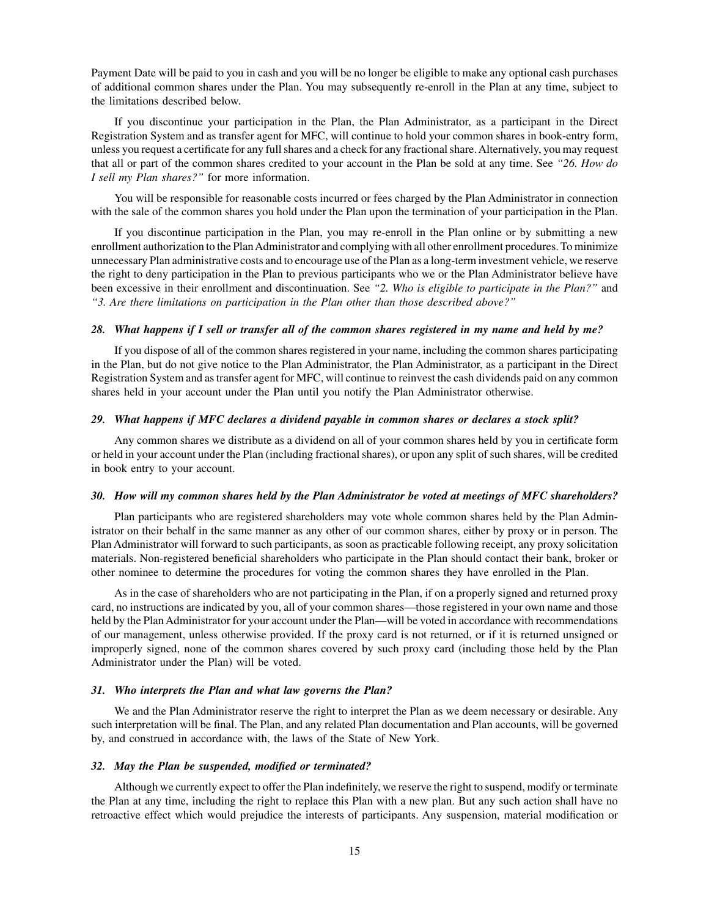Payment Date will be paid to you in cash and you will be no longer be eligible to make any optional cash purchases of additional common shares under the Plan. You may subsequently re-enroll in the Plan at any time, subject to the limitations described below.

If you discontinue your participation in the Plan, the Plan Administrator, as a participant in the Direct Registration System and as transfer agent for MFC, will continue to hold your common shares in book-entry form, unless you request a certificate for any full shares and a check for any fractional share.Alternatively, you may request that all or part of the common shares credited to your account in the Plan be sold at any time. See *"26. How do I sell my Plan shares?"* for more information.

You will be responsible for reasonable costs incurred or fees charged by the Plan Administrator in connection with the sale of the common shares you hold under the Plan upon the termination of your participation in the Plan.

If you discontinue participation in the Plan, you may re-enroll in the Plan online or by submitting a new enrollment authorization to the PlanAdministrator and complying with all other enrollment procedures. To minimize unnecessary Plan administrative costs and to encourage use of the Plan as a long-term investment vehicle, we reserve the right to deny participation in the Plan to previous participants who we or the Plan Administrator believe have been excessive in their enrollment and discontinuation. See *"2. Who is eligible to participate in the Plan?"* and *"3. Are there limitations on participation in the Plan other than those described above?"*

#### *28. What happens if I sell or transfer all of the common shares registered in my name and held by me?*

If you dispose of all of the common shares registered in your name, including the common shares participating in the Plan, but do not give notice to the Plan Administrator, the Plan Administrator, as a participant in the Direct Registration System and as transfer agent for MFC, will continue to reinvest the cash dividends paid on any common shares held in your account under the Plan until you notify the Plan Administrator otherwise.

#### *29. What happens if MFC declares a dividend payable in common shares or declares a stock split?*

Any common shares we distribute as a dividend on all of your common shares held by you in certificate form or held in your account under the Plan (including fractional shares), or upon any split of such shares, will be credited in book entry to your account.

#### *30. How will my common shares held by the Plan Administrator be voted at meetings of MFC shareholders?*

Plan participants who are registered shareholders may vote whole common shares held by the Plan Administrator on their behalf in the same manner as any other of our common shares, either by proxy or in person. The Plan Administrator will forward to such participants, as soon as practicable following receipt, any proxy solicitation materials. Non-registered beneficial shareholders who participate in the Plan should contact their bank, broker or other nominee to determine the procedures for voting the common shares they have enrolled in the Plan.

As in the case of shareholders who are not participating in the Plan, if on a properly signed and returned proxy card, no instructions are indicated by you, all of your common shares—those registered in your own name and those held by the Plan Administrator for your account under the Plan—will be voted in accordance with recommendations of our management, unless otherwise provided. If the proxy card is not returned, or if it is returned unsigned or improperly signed, none of the common shares covered by such proxy card (including those held by the Plan Administrator under the Plan) will be voted.

#### *31. Who interprets the Plan and what law governs the Plan?*

We and the Plan Administrator reserve the right to interpret the Plan as we deem necessary or desirable. Any such interpretation will be final. The Plan, and any related Plan documentation and Plan accounts, will be governed by, and construed in accordance with, the laws of the State of New York.

#### *32. May the Plan be suspended, modified or terminated?*

Although we currently expect to offer the Plan indefinitely, we reserve the right to suspend, modify or terminate the Plan at any time, including the right to replace this Plan with a new plan. But any such action shall have no retroactive effect which would prejudice the interests of participants. Any suspension, material modification or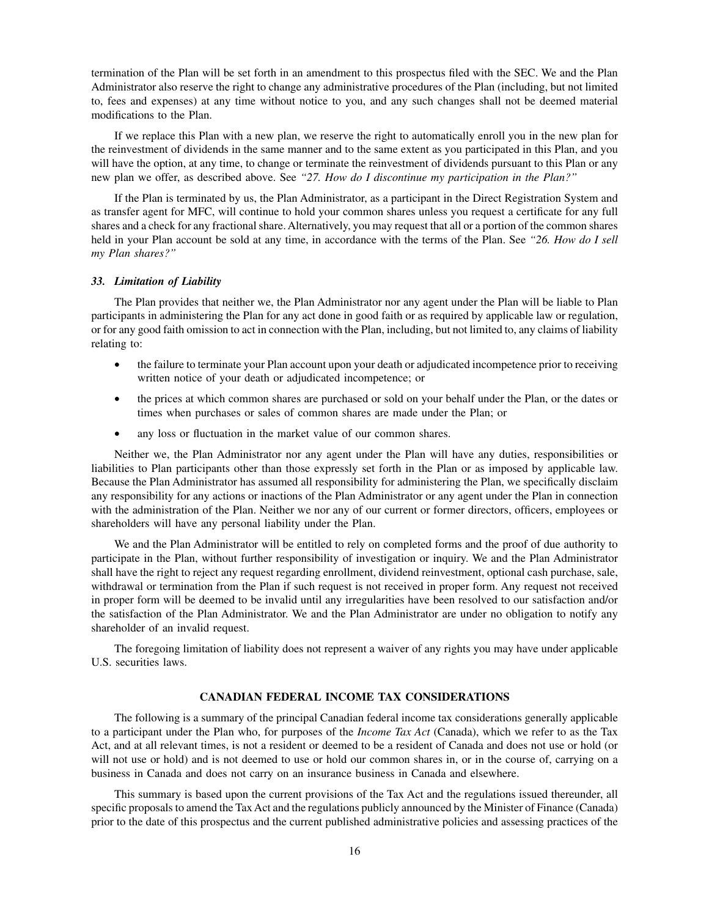termination of the Plan will be set forth in an amendment to this prospectus filed with the SEC. We and the Plan Administrator also reserve the right to change any administrative procedures of the Plan (including, but not limited to, fees and expenses) at any time without notice to you, and any such changes shall not be deemed material modifications to the Plan.

If we replace this Plan with a new plan, we reserve the right to automatically enroll you in the new plan for the reinvestment of dividends in the same manner and to the same extent as you participated in this Plan, and you will have the option, at any time, to change or terminate the reinvestment of dividends pursuant to this Plan or any new plan we offer, as described above. See *"27. How do I discontinue my participation in the Plan?"*

If the Plan is terminated by us, the Plan Administrator, as a participant in the Direct Registration System and as transfer agent for MFC, will continue to hold your common shares unless you request a certificate for any full shares and a check for any fractional share. Alternatively, you may request that all or a portion of the common shares held in your Plan account be sold at any time, in accordance with the terms of the Plan. See *"26. How do I sell my Plan shares?"*

#### *33. Limitation of Liability*

The Plan provides that neither we, the Plan Administrator nor any agent under the Plan will be liable to Plan participants in administering the Plan for any act done in good faith or as required by applicable law or regulation, or for any good faith omission to act in connection with the Plan, including, but not limited to, any claims of liability relating to:

- the failure to terminate your Plan account upon your death or adjudicated incompetence prior to receiving written notice of your death or adjudicated incompetence; or
- the prices at which common shares are purchased or sold on your behalf under the Plan, or the dates or times when purchases or sales of common shares are made under the Plan; or
- any loss or fluctuation in the market value of our common shares.

Neither we, the Plan Administrator nor any agent under the Plan will have any duties, responsibilities or liabilities to Plan participants other than those expressly set forth in the Plan or as imposed by applicable law. Because the Plan Administrator has assumed all responsibility for administering the Plan, we specifically disclaim any responsibility for any actions or inactions of the Plan Administrator or any agent under the Plan in connection with the administration of the Plan. Neither we nor any of our current or former directors, officers, employees or shareholders will have any personal liability under the Plan.

We and the Plan Administrator will be entitled to rely on completed forms and the proof of due authority to participate in the Plan, without further responsibility of investigation or inquiry. We and the Plan Administrator shall have the right to reject any request regarding enrollment, dividend reinvestment, optional cash purchase, sale, withdrawal or termination from the Plan if such request is not received in proper form. Any request not received in proper form will be deemed to be invalid until any irregularities have been resolved to our satisfaction and/or the satisfaction of the Plan Administrator. We and the Plan Administrator are under no obligation to notify any shareholder of an invalid request.

The foregoing limitation of liability does not represent a waiver of any rights you may have under applicable U.S. securities laws.

#### **CANADIAN FEDERAL INCOME TAX CONSIDERATIONS**

The following is a summary of the principal Canadian federal income tax considerations generally applicable to a participant under the Plan who, for purposes of the *Income Tax Act* (Canada), which we refer to as the Tax Act, and at all relevant times, is not a resident or deemed to be a resident of Canada and does not use or hold (or will not use or hold) and is not deemed to use or hold our common shares in, or in the course of, carrying on a business in Canada and does not carry on an insurance business in Canada and elsewhere.

This summary is based upon the current provisions of the Tax Act and the regulations issued thereunder, all specific proposals to amend the Tax Act and the regulations publicly announced by the Minister of Finance (Canada) prior to the date of this prospectus and the current published administrative policies and assessing practices of the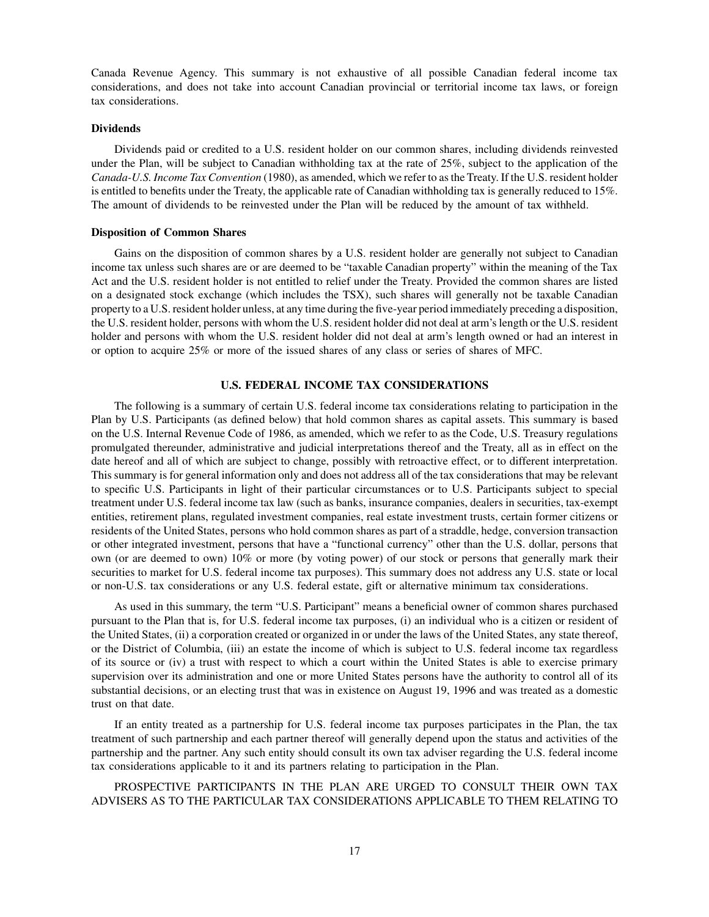Canada Revenue Agency. This summary is not exhaustive of all possible Canadian federal income tax considerations, and does not take into account Canadian provincial or territorial income tax laws, or foreign tax considerations.

#### **Dividends**

Dividends paid or credited to a U.S. resident holder on our common shares, including dividends reinvested under the Plan, will be subject to Canadian withholding tax at the rate of 25%, subject to the application of the *Canada-U.S. Income Tax Convention* (1980), as amended, which we refer to as the Treaty. If the U.S. resident holder is entitled to benefits under the Treaty, the applicable rate of Canadian withholding tax is generally reduced to 15%. The amount of dividends to be reinvested under the Plan will be reduced by the amount of tax withheld.

#### **Disposition of Common Shares**

Gains on the disposition of common shares by a U.S. resident holder are generally not subject to Canadian income tax unless such shares are or are deemed to be "taxable Canadian property" within the meaning of the Tax Act and the U.S. resident holder is not entitled to relief under the Treaty. Provided the common shares are listed on a designated stock exchange (which includes the TSX), such shares will generally not be taxable Canadian property to a U.S. resident holder unless, at any time during the five-year period immediately preceding a disposition, the U.S. resident holder, persons with whom the U.S. resident holder did not deal at arm's length or the U.S. resident holder and persons with whom the U.S. resident holder did not deal at arm's length owned or had an interest in or option to acquire 25% or more of the issued shares of any class or series of shares of MFC.

### **U.S. FEDERAL INCOME TAX CONSIDERATIONS**

The following is a summary of certain U.S. federal income tax considerations relating to participation in the Plan by U.S. Participants (as defined below) that hold common shares as capital assets. This summary is based on the U.S. Internal Revenue Code of 1986, as amended, which we refer to as the Code, U.S. Treasury regulations promulgated thereunder, administrative and judicial interpretations thereof and the Treaty, all as in effect on the date hereof and all of which are subject to change, possibly with retroactive effect, or to different interpretation. This summary is for general information only and does not address all of the tax considerations that may be relevant to specific U.S. Participants in light of their particular circumstances or to U.S. Participants subject to special treatment under U.S. federal income tax law (such as banks, insurance companies, dealers in securities, tax-exempt entities, retirement plans, regulated investment companies, real estate investment trusts, certain former citizens or residents of the United States, persons who hold common shares as part of a straddle, hedge, conversion transaction or other integrated investment, persons that have a "functional currency" other than the U.S. dollar, persons that own (or are deemed to own) 10% or more (by voting power) of our stock or persons that generally mark their securities to market for U.S. federal income tax purposes). This summary does not address any U.S. state or local or non-U.S. tax considerations or any U.S. federal estate, gift or alternative minimum tax considerations.

As used in this summary, the term "U.S. Participant" means a beneficial owner of common shares purchased pursuant to the Plan that is, for U.S. federal income tax purposes, (i) an individual who is a citizen or resident of the United States, (ii) a corporation created or organized in or under the laws of the United States, any state thereof, or the District of Columbia, (iii) an estate the income of which is subject to U.S. federal income tax regardless of its source or (iv) a trust with respect to which a court within the United States is able to exercise primary supervision over its administration and one or more United States persons have the authority to control all of its substantial decisions, or an electing trust that was in existence on August 19, 1996 and was treated as a domestic trust on that date.

If an entity treated as a partnership for U.S. federal income tax purposes participates in the Plan, the tax treatment of such partnership and each partner thereof will generally depend upon the status and activities of the partnership and the partner. Any such entity should consult its own tax adviser regarding the U.S. federal income tax considerations applicable to it and its partners relating to participation in the Plan.

PROSPECTIVE PARTICIPANTS IN THE PLAN ARE URGED TO CONSULT THEIR OWN TAX ADVISERS AS TO THE PARTICULAR TAX CONSIDERATIONS APPLICABLE TO THEM RELATING TO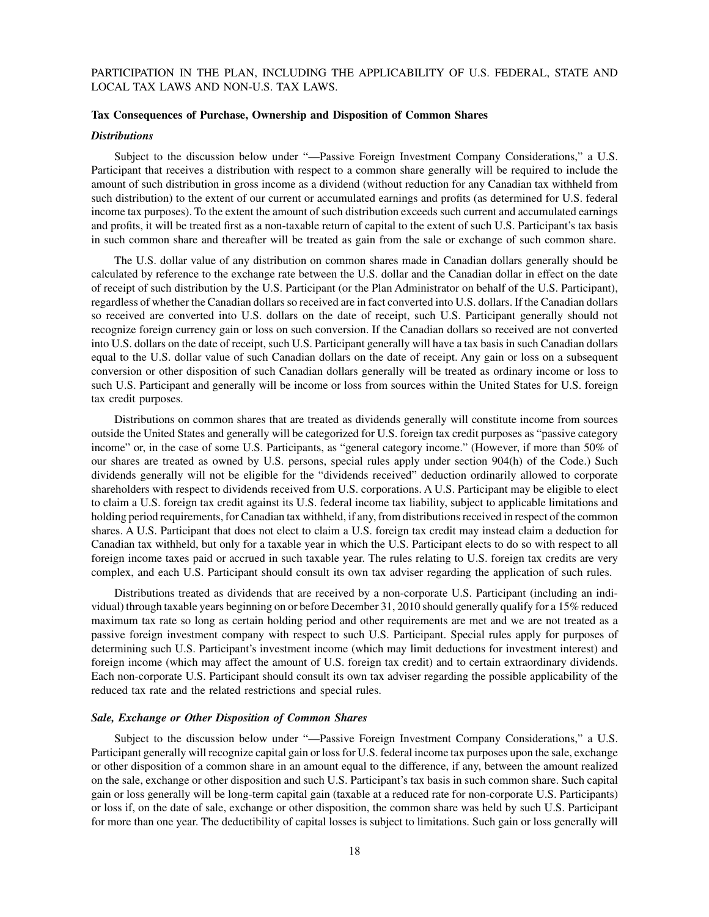# PARTICIPATION IN THE PLAN, INCLUDING THE APPLICABILITY OF U.S. FEDERAL, STATE AND LOCAL TAX LAWS AND NON-U.S. TAX LAWS.

#### **Tax Consequences of Purchase, Ownership and Disposition of Common Shares**

#### *Distributions*

Subject to the discussion below under "—Passive Foreign Investment Company Considerations," a U.S. Participant that receives a distribution with respect to a common share generally will be required to include the amount of such distribution in gross income as a dividend (without reduction for any Canadian tax withheld from such distribution) to the extent of our current or accumulated earnings and profits (as determined for U.S. federal income tax purposes). To the extent the amount of such distribution exceeds such current and accumulated earnings and profits, it will be treated first as a non-taxable return of capital to the extent of such U.S. Participant's tax basis in such common share and thereafter will be treated as gain from the sale or exchange of such common share.

The U.S. dollar value of any distribution on common shares made in Canadian dollars generally should be calculated by reference to the exchange rate between the U.S. dollar and the Canadian dollar in effect on the date of receipt of such distribution by the U.S. Participant (or the Plan Administrator on behalf of the U.S. Participant), regardless of whether the Canadian dollars so received are in fact converted into U.S. dollars. If the Canadian dollars so received are converted into U.S. dollars on the date of receipt, such U.S. Participant generally should not recognize foreign currency gain or loss on such conversion. If the Canadian dollars so received are not converted into U.S. dollars on the date of receipt, such U.S. Participant generally will have a tax basis in such Canadian dollars equal to the U.S. dollar value of such Canadian dollars on the date of receipt. Any gain or loss on a subsequent conversion or other disposition of such Canadian dollars generally will be treated as ordinary income or loss to such U.S. Participant and generally will be income or loss from sources within the United States for U.S. foreign tax credit purposes.

Distributions on common shares that are treated as dividends generally will constitute income from sources outside the United States and generally will be categorized for U.S. foreign tax credit purposes as "passive category income" or, in the case of some U.S. Participants, as "general category income." (However, if more than 50% of our shares are treated as owned by U.S. persons, special rules apply under section 904(h) of the Code.) Such dividends generally will not be eligible for the "dividends received" deduction ordinarily allowed to corporate shareholders with respect to dividends received from U.S. corporations. A U.S. Participant may be eligible to elect to claim a U.S. foreign tax credit against its U.S. federal income tax liability, subject to applicable limitations and holding period requirements, for Canadian tax withheld, if any, from distributions received in respect of the common shares. A U.S. Participant that does not elect to claim a U.S. foreign tax credit may instead claim a deduction for Canadian tax withheld, but only for a taxable year in which the U.S. Participant elects to do so with respect to all foreign income taxes paid or accrued in such taxable year. The rules relating to U.S. foreign tax credits are very complex, and each U.S. Participant should consult its own tax adviser regarding the application of such rules.

Distributions treated as dividends that are received by a non-corporate U.S. Participant (including an individual) through taxable years beginning on or before December 31, 2010 should generally qualify for a 15% reduced maximum tax rate so long as certain holding period and other requirements are met and we are not treated as a passive foreign investment company with respect to such U.S. Participant. Special rules apply for purposes of determining such U.S. Participant's investment income (which may limit deductions for investment interest) and foreign income (which may affect the amount of U.S. foreign tax credit) and to certain extraordinary dividends. Each non-corporate U.S. Participant should consult its own tax adviser regarding the possible applicability of the reduced tax rate and the related restrictions and special rules.

#### *Sale, Exchange or Other Disposition of Common Shares*

Subject to the discussion below under "—Passive Foreign Investment Company Considerations," a U.S. Participant generally will recognize capital gain or loss for U.S. federal income tax purposes upon the sale, exchange or other disposition of a common share in an amount equal to the difference, if any, between the amount realized on the sale, exchange or other disposition and such U.S. Participant's tax basis in such common share. Such capital gain or loss generally will be long-term capital gain (taxable at a reduced rate for non-corporate U.S. Participants) or loss if, on the date of sale, exchange or other disposition, the common share was held by such U.S. Participant for more than one year. The deductibility of capital losses is subject to limitations. Such gain or loss generally will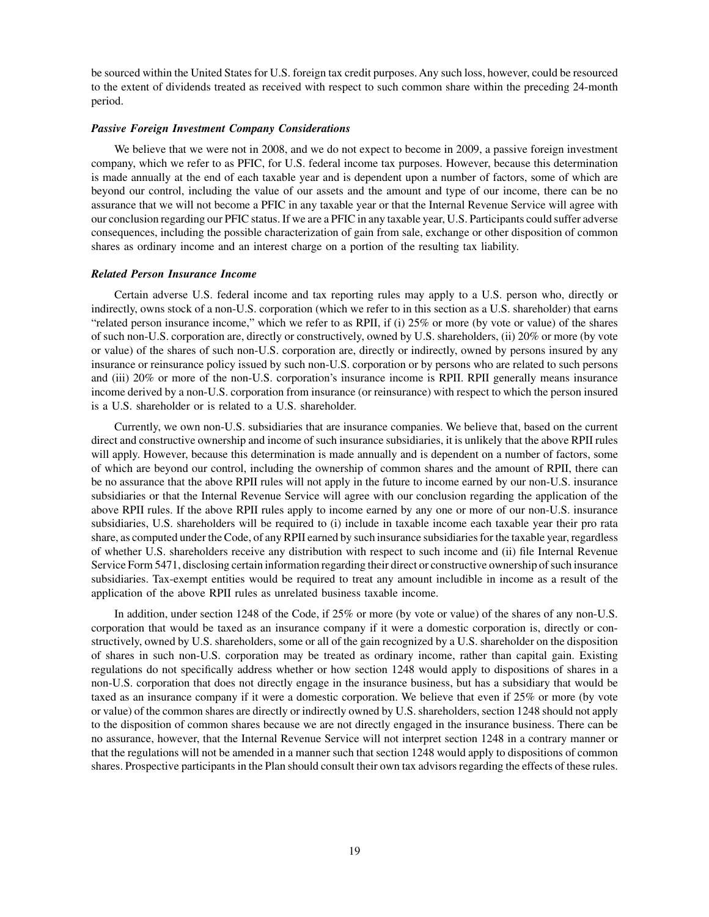be sourced within the United States for U.S. foreign tax credit purposes. Any such loss, however, could be resourced to the extent of dividends treated as received with respect to such common share within the preceding 24-month period.

#### *Passive Foreign Investment Company Considerations*

We believe that we were not in 2008, and we do not expect to become in 2009, a passive foreign investment company, which we refer to as PFIC, for U.S. federal income tax purposes. However, because this determination is made annually at the end of each taxable year and is dependent upon a number of factors, some of which are beyond our control, including the value of our assets and the amount and type of our income, there can be no assurance that we will not become a PFIC in any taxable year or that the Internal Revenue Service will agree with our conclusion regarding our PFIC status. If we are a PFIC in any taxable year, U.S. Participants could suffer adverse consequences, including the possible characterization of gain from sale, exchange or other disposition of common shares as ordinary income and an interest charge on a portion of the resulting tax liability.

#### *Related Person Insurance Income*

Certain adverse U.S. federal income and tax reporting rules may apply to a U.S. person who, directly or indirectly, owns stock of a non-U.S. corporation (which we refer to in this section as a U.S. shareholder) that earns "related person insurance income," which we refer to as RPII, if (i) 25% or more (by vote or value) of the shares of such non-U.S. corporation are, directly or constructively, owned by U.S. shareholders, (ii) 20% or more (by vote or value) of the shares of such non-U.S. corporation are, directly or indirectly, owned by persons insured by any insurance or reinsurance policy issued by such non-U.S. corporation or by persons who are related to such persons and (iii) 20% or more of the non-U.S. corporation's insurance income is RPII. RPII generally means insurance income derived by a non-U.S. corporation from insurance (or reinsurance) with respect to which the person insured is a U.S. shareholder or is related to a U.S. shareholder.

Currently, we own non-U.S. subsidiaries that are insurance companies. We believe that, based on the current direct and constructive ownership and income of such insurance subsidiaries, it is unlikely that the above RPII rules will apply. However, because this determination is made annually and is dependent on a number of factors, some of which are beyond our control, including the ownership of common shares and the amount of RPII, there can be no assurance that the above RPII rules will not apply in the future to income earned by our non-U.S. insurance subsidiaries or that the Internal Revenue Service will agree with our conclusion regarding the application of the above RPII rules. If the above RPII rules apply to income earned by any one or more of our non-U.S. insurance subsidiaries, U.S. shareholders will be required to (i) include in taxable income each taxable year their pro rata share, as computed under the Code, of any RPII earned by such insurance subsidiaries for the taxable year, regardless of whether U.S. shareholders receive any distribution with respect to such income and (ii) file Internal Revenue Service Form 5471, disclosing certain information regarding their direct or constructive ownership of such insurance subsidiaries. Tax-exempt entities would be required to treat any amount includible in income as a result of the application of the above RPII rules as unrelated business taxable income.

In addition, under section 1248 of the Code, if 25% or more (by vote or value) of the shares of any non-U.S. corporation that would be taxed as an insurance company if it were a domestic corporation is, directly or constructively, owned by U.S. shareholders, some or all of the gain recognized by a U.S. shareholder on the disposition of shares in such non-U.S. corporation may be treated as ordinary income, rather than capital gain. Existing regulations do not specifically address whether or how section 1248 would apply to dispositions of shares in a non-U.S. corporation that does not directly engage in the insurance business, but has a subsidiary that would be taxed as an insurance company if it were a domestic corporation. We believe that even if 25% or more (by vote or value) of the common shares are directly or indirectly owned by U.S. shareholders, section 1248 should not apply to the disposition of common shares because we are not directly engaged in the insurance business. There can be no assurance, however, that the Internal Revenue Service will not interpret section 1248 in a contrary manner or that the regulations will not be amended in a manner such that section 1248 would apply to dispositions of common shares. Prospective participants in the Plan should consult their own tax advisors regarding the effects of these rules.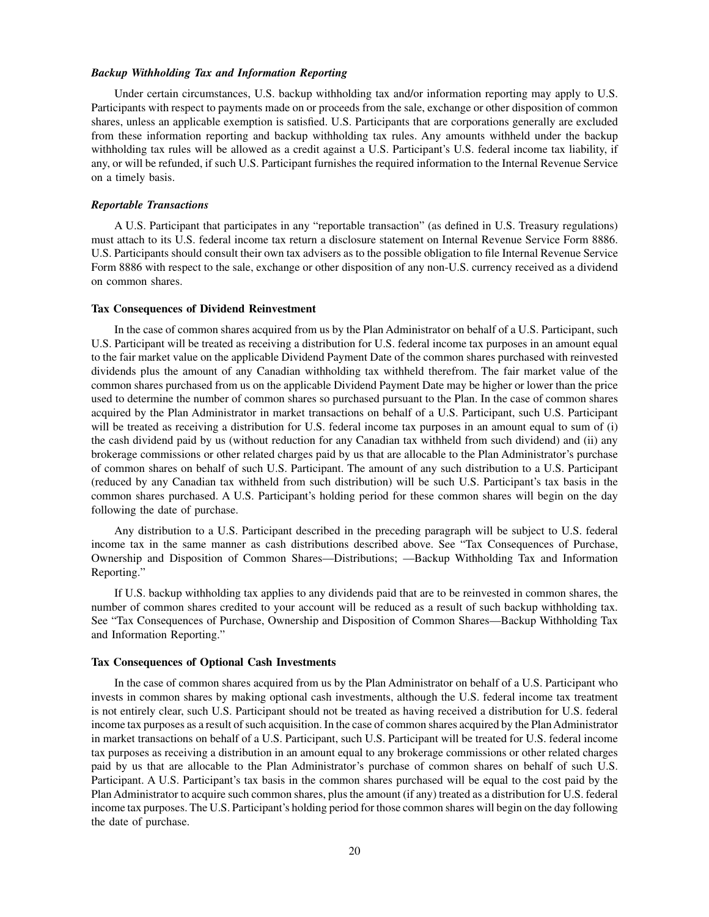#### *Backup Withholding Tax and Information Reporting*

Under certain circumstances, U.S. backup withholding tax and/or information reporting may apply to U.S. Participants with respect to payments made on or proceeds from the sale, exchange or other disposition of common shares, unless an applicable exemption is satisfied. U.S. Participants that are corporations generally are excluded from these information reporting and backup withholding tax rules. Any amounts withheld under the backup withholding tax rules will be allowed as a credit against a U.S. Participant's U.S. federal income tax liability, if any, or will be refunded, if such U.S. Participant furnishes the required information to the Internal Revenue Service on a timely basis.

#### *Reportable Transactions*

A U.S. Participant that participates in any "reportable transaction" (as defined in U.S. Treasury regulations) must attach to its U.S. federal income tax return a disclosure statement on Internal Revenue Service Form 8886. U.S. Participants should consult their own tax advisers as to the possible obligation to file Internal Revenue Service Form 8886 with respect to the sale, exchange or other disposition of any non-U.S. currency received as a dividend on common shares.

#### **Tax Consequences of Dividend Reinvestment**

In the case of common shares acquired from us by the Plan Administrator on behalf of a U.S. Participant, such U.S. Participant will be treated as receiving a distribution for U.S. federal income tax purposes in an amount equal to the fair market value on the applicable Dividend Payment Date of the common shares purchased with reinvested dividends plus the amount of any Canadian withholding tax withheld therefrom. The fair market value of the common shares purchased from us on the applicable Dividend Payment Date may be higher or lower than the price used to determine the number of common shares so purchased pursuant to the Plan. In the case of common shares acquired by the Plan Administrator in market transactions on behalf of a U.S. Participant, such U.S. Participant will be treated as receiving a distribution for U.S. federal income tax purposes in an amount equal to sum of (i) the cash dividend paid by us (without reduction for any Canadian tax withheld from such dividend) and (ii) any brokerage commissions or other related charges paid by us that are allocable to the Plan Administrator's purchase of common shares on behalf of such U.S. Participant. The amount of any such distribution to a U.S. Participant (reduced by any Canadian tax withheld from such distribution) will be such U.S. Participant's tax basis in the common shares purchased. A U.S. Participant's holding period for these common shares will begin on the day following the date of purchase.

Any distribution to a U.S. Participant described in the preceding paragraph will be subject to U.S. federal income tax in the same manner as cash distributions described above. See "Tax Consequences of Purchase, Ownership and Disposition of Common Shares—Distributions; —Backup Withholding Tax and Information Reporting."

If U.S. backup withholding tax applies to any dividends paid that are to be reinvested in common shares, the number of common shares credited to your account will be reduced as a result of such backup withholding tax. See "Tax Consequences of Purchase, Ownership and Disposition of Common Shares—Backup Withholding Tax and Information Reporting."

#### **Tax Consequences of Optional Cash Investments**

In the case of common shares acquired from us by the Plan Administrator on behalf of a U.S. Participant who invests in common shares by making optional cash investments, although the U.S. federal income tax treatment is not entirely clear, such U.S. Participant should not be treated as having received a distribution for U.S. federal income tax purposes as a result of such acquisition. In the case of common shares acquired by the Plan Administrator in market transactions on behalf of a U.S. Participant, such U.S. Participant will be treated for U.S. federal income tax purposes as receiving a distribution in an amount equal to any brokerage commissions or other related charges paid by us that are allocable to the Plan Administrator's purchase of common shares on behalf of such U.S. Participant. A U.S. Participant's tax basis in the common shares purchased will be equal to the cost paid by the Plan Administrator to acquire such common shares, plus the amount (if any) treated as a distribution for U.S. federal income tax purposes. The U.S. Participant's holding period for those common shares will begin on the day following the date of purchase.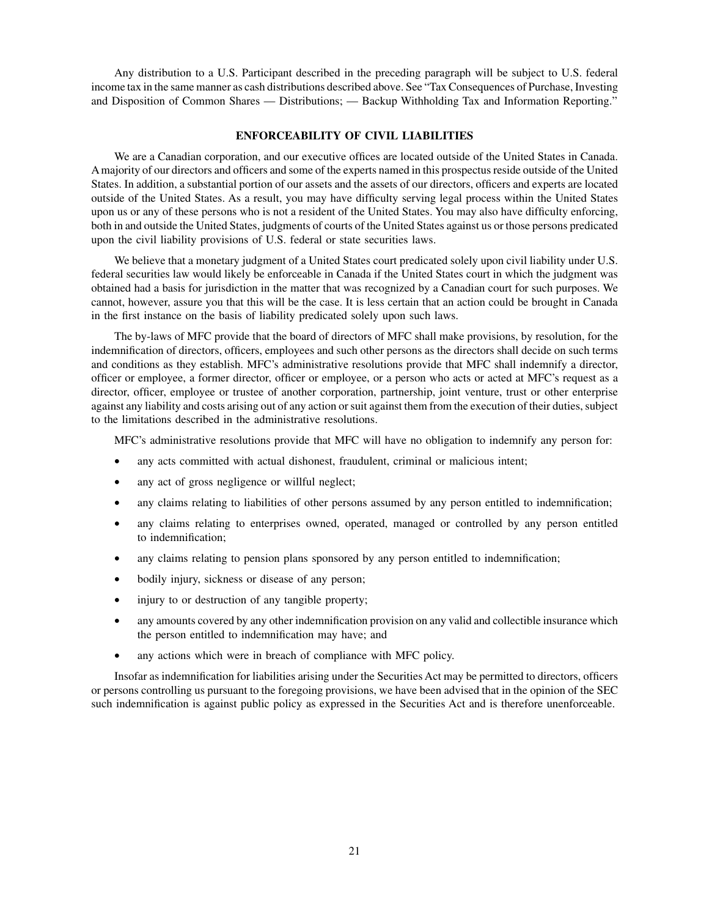Any distribution to a U.S. Participant described in the preceding paragraph will be subject to U.S. federal income tax in the same manner as cash distributions described above. See "Tax Consequences of Purchase, Investing and Disposition of Common Shares — Distributions; — Backup Withholding Tax and Information Reporting."

# **ENFORCEABILITY OF CIVIL LIABILITIES**

We are a Canadian corporation, and our executive offices are located outside of the United States in Canada. A majority of our directors and officers and some of the experts named in this prospectus reside outside of the United States. In addition, a substantial portion of our assets and the assets of our directors, officers and experts are located outside of the United States. As a result, you may have difficulty serving legal process within the United States upon us or any of these persons who is not a resident of the United States. You may also have difficulty enforcing, both in and outside the United States, judgments of courts of the United States against us or those persons predicated upon the civil liability provisions of U.S. federal or state securities laws.

We believe that a monetary judgment of a United States court predicated solely upon civil liability under U.S. federal securities law would likely be enforceable in Canada if the United States court in which the judgment was obtained had a basis for jurisdiction in the matter that was recognized by a Canadian court for such purposes. We cannot, however, assure you that this will be the case. It is less certain that an action could be brought in Canada in the first instance on the basis of liability predicated solely upon such laws.

The by-laws of MFC provide that the board of directors of MFC shall make provisions, by resolution, for the indemnification of directors, officers, employees and such other persons as the directors shall decide on such terms and conditions as they establish. MFC's administrative resolutions provide that MFC shall indemnify a director, officer or employee, a former director, officer or employee, or a person who acts or acted at MFC's request as a director, officer, employee or trustee of another corporation, partnership, joint venture, trust or other enterprise against any liability and costs arising out of any action or suit against them from the execution of their duties, subject to the limitations described in the administrative resolutions.

MFC's administrative resolutions provide that MFC will have no obligation to indemnify any person for:

- any acts committed with actual dishonest, fraudulent, criminal or malicious intent;
- any act of gross negligence or willful neglect;
- any claims relating to liabilities of other persons assumed by any person entitled to indemnification;
- any claims relating to enterprises owned, operated, managed or controlled by any person entitled to indemnification;
- any claims relating to pension plans sponsored by any person entitled to indemnification;
- bodily injury, sickness or disease of any person;
- injury to or destruction of any tangible property;
- any amounts covered by any other indemnification provision on any valid and collectible insurance which the person entitled to indemnification may have; and
- any actions which were in breach of compliance with MFC policy.

Insofar as indemnification for liabilities arising under the Securities Act may be permitted to directors, officers or persons controlling us pursuant to the foregoing provisions, we have been advised that in the opinion of the SEC such indemnification is against public policy as expressed in the Securities Act and is therefore unenforceable.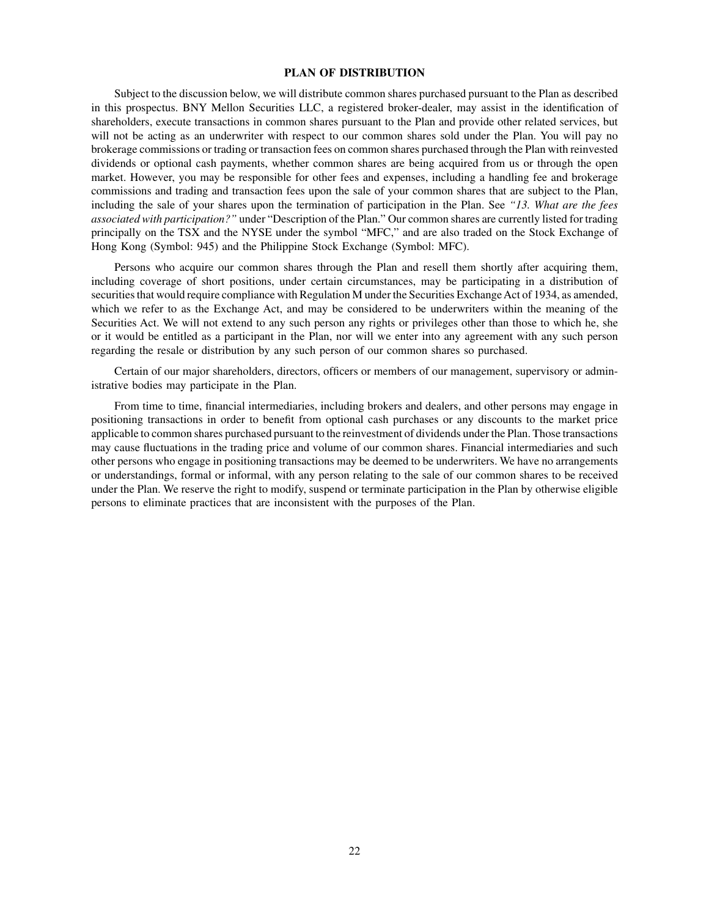### **PLAN OF DISTRIBUTION**

Subject to the discussion below, we will distribute common shares purchased pursuant to the Plan as described in this prospectus. BNY Mellon Securities LLC, a registered broker-dealer, may assist in the identification of shareholders, execute transactions in common shares pursuant to the Plan and provide other related services, but will not be acting as an underwriter with respect to our common shares sold under the Plan. You will pay no brokerage commissions or trading or transaction fees on common shares purchased through the Plan with reinvested dividends or optional cash payments, whether common shares are being acquired from us or through the open market. However, you may be responsible for other fees and expenses, including a handling fee and brokerage commissions and trading and transaction fees upon the sale of your common shares that are subject to the Plan, including the sale of your shares upon the termination of participation in the Plan. See *"13. What are the fees associated with participation?"* under "Description of the Plan." Our common shares are currently listed for trading principally on the TSX and the NYSE under the symbol "MFC," and are also traded on the Stock Exchange of Hong Kong (Symbol: 945) and the Philippine Stock Exchange (Symbol: MFC).

Persons who acquire our common shares through the Plan and resell them shortly after acquiring them, including coverage of short positions, under certain circumstances, may be participating in a distribution of securities that would require compliance with Regulation M under the Securities Exchange Act of 1934, as amended, which we refer to as the Exchange Act, and may be considered to be underwriters within the meaning of the Securities Act. We will not extend to any such person any rights or privileges other than those to which he, she or it would be entitled as a participant in the Plan, nor will we enter into any agreement with any such person regarding the resale or distribution by any such person of our common shares so purchased.

Certain of our major shareholders, directors, officers or members of our management, supervisory or administrative bodies may participate in the Plan.

From time to time, financial intermediaries, including brokers and dealers, and other persons may engage in positioning transactions in order to benefit from optional cash purchases or any discounts to the market price applicable to common shares purchased pursuant to the reinvestment of dividends under the Plan. Those transactions may cause fluctuations in the trading price and volume of our common shares. Financial intermediaries and such other persons who engage in positioning transactions may be deemed to be underwriters. We have no arrangements or understandings, formal or informal, with any person relating to the sale of our common shares to be received under the Plan. We reserve the right to modify, suspend or terminate participation in the Plan by otherwise eligible persons to eliminate practices that are inconsistent with the purposes of the Plan.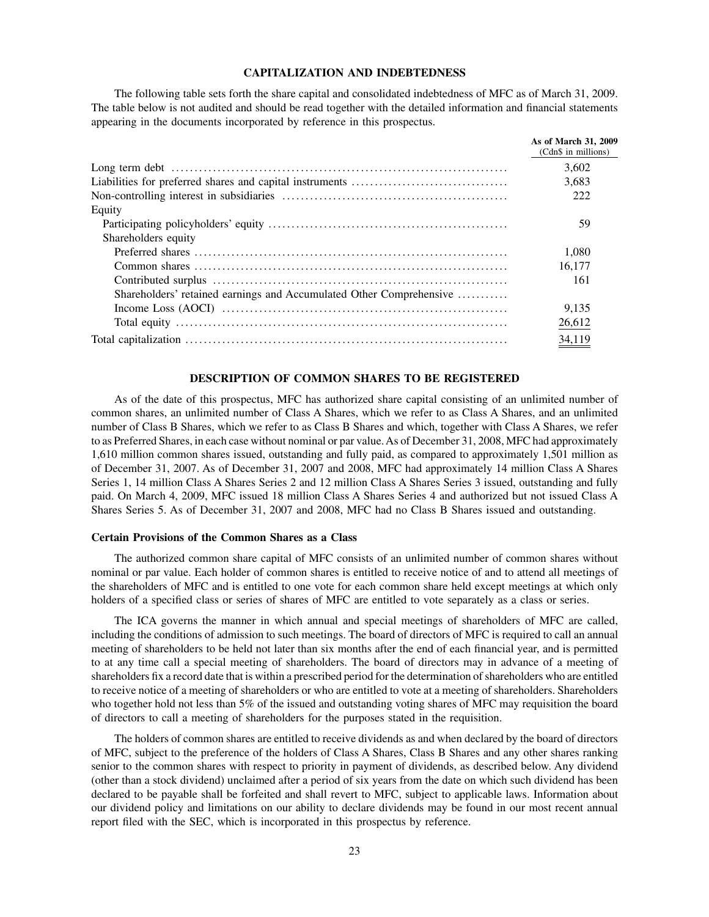# **CAPITALIZATION AND INDEBTEDNESS**

The following table sets forth the share capital and consolidated indebtedness of MFC as of March 31, 2009. The table below is not audited and should be read together with the detailed information and financial statements appearing in the documents incorporated by reference in this prospectus.

|                                                                     | As of March 31, 2009<br>(Cdn\$ in millions) |
|---------------------------------------------------------------------|---------------------------------------------|
|                                                                     | 3.602                                       |
|                                                                     | 3.683                                       |
|                                                                     | 222                                         |
| Equity                                                              |                                             |
|                                                                     | 59                                          |
| Shareholders equity                                                 |                                             |
|                                                                     | 1.080                                       |
|                                                                     | 16.177                                      |
|                                                                     | 161                                         |
| Shareholders' retained earnings and Accumulated Other Comprehensive |                                             |
|                                                                     | 9.135                                       |
|                                                                     | 26,612                                      |
|                                                                     | 34,119                                      |

#### **DESCRIPTION OF COMMON SHARES TO BE REGISTERED**

As of the date of this prospectus, MFC has authorized share capital consisting of an unlimited number of common shares, an unlimited number of Class A Shares, which we refer to as Class A Shares, and an unlimited number of Class B Shares, which we refer to as Class B Shares and which, together with Class A Shares, we refer to as Preferred Shares, in each case without nominal or par value. As of December 31, 2008, MFC had approximately 1,610 million common shares issued, outstanding and fully paid, as compared to approximately 1,501 million as of December 31, 2007. As of December 31, 2007 and 2008, MFC had approximately 14 million Class A Shares Series 1, 14 million Class A Shares Series 2 and 12 million Class A Shares Series 3 issued, outstanding and fully paid. On March 4, 2009, MFC issued 18 million Class A Shares Series 4 and authorized but not issued Class A Shares Series 5. As of December 31, 2007 and 2008, MFC had no Class B Shares issued and outstanding.

# **Certain Provisions of the Common Shares as a Class**

The authorized common share capital of MFC consists of an unlimited number of common shares without nominal or par value. Each holder of common shares is entitled to receive notice of and to attend all meetings of the shareholders of MFC and is entitled to one vote for each common share held except meetings at which only holders of a specified class or series of shares of MFC are entitled to vote separately as a class or series.

The ICA governs the manner in which annual and special meetings of shareholders of MFC are called, including the conditions of admission to such meetings. The board of directors of MFC is required to call an annual meeting of shareholders to be held not later than six months after the end of each financial year, and is permitted to at any time call a special meeting of shareholders. The board of directors may in advance of a meeting of shareholders fix a record date that is within a prescribed period for the determination of shareholders who are entitled to receive notice of a meeting of shareholders or who are entitled to vote at a meeting of shareholders. Shareholders who together hold not less than 5% of the issued and outstanding voting shares of MFC may requisition the board of directors to call a meeting of shareholders for the purposes stated in the requisition.

The holders of common shares are entitled to receive dividends as and when declared by the board of directors of MFC, subject to the preference of the holders of Class A Shares, Class B Shares and any other shares ranking senior to the common shares with respect to priority in payment of dividends, as described below. Any dividend (other than a stock dividend) unclaimed after a period of six years from the date on which such dividend has been declared to be payable shall be forfeited and shall revert to MFC, subject to applicable laws. Information about our dividend policy and limitations on our ability to declare dividends may be found in our most recent annual report filed with the SEC, which is incorporated in this prospectus by reference.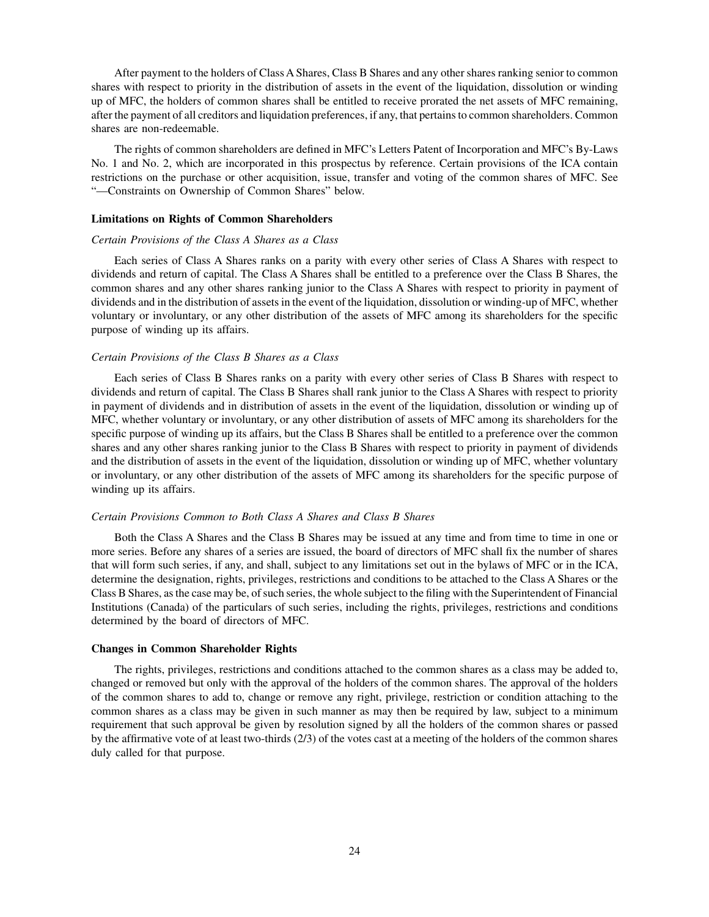After payment to the holders of Class A Shares, Class B Shares and any other shares ranking senior to common shares with respect to priority in the distribution of assets in the event of the liquidation, dissolution or winding up of MFC, the holders of common shares shall be entitled to receive prorated the net assets of MFC remaining, after the payment of all creditors and liquidation preferences, if any, that pertains to common shareholders. Common shares are non-redeemable.

The rights of common shareholders are defined in MFC's Letters Patent of Incorporation and MFC's By-Laws No. 1 and No. 2, which are incorporated in this prospectus by reference. Certain provisions of the ICA contain restrictions on the purchase or other acquisition, issue, transfer and voting of the common shares of MFC. See "—Constraints on Ownership of Common Shares" below.

#### **Limitations on Rights of Common Shareholders**

#### *Certain Provisions of the Class A Shares as a Class*

Each series of Class A Shares ranks on a parity with every other series of Class A Shares with respect to dividends and return of capital. The Class A Shares shall be entitled to a preference over the Class B Shares, the common shares and any other shares ranking junior to the Class A Shares with respect to priority in payment of dividends and in the distribution of assets in the event of the liquidation, dissolution or winding-up of MFC, whether voluntary or involuntary, or any other distribution of the assets of MFC among its shareholders for the specific purpose of winding up its affairs.

## *Certain Provisions of the Class B Shares as a Class*

Each series of Class B Shares ranks on a parity with every other series of Class B Shares with respect to dividends and return of capital. The Class B Shares shall rank junior to the Class A Shares with respect to priority in payment of dividends and in distribution of assets in the event of the liquidation, dissolution or winding up of MFC, whether voluntary or involuntary, or any other distribution of assets of MFC among its shareholders for the specific purpose of winding up its affairs, but the Class B Shares shall be entitled to a preference over the common shares and any other shares ranking junior to the Class B Shares with respect to priority in payment of dividends and the distribution of assets in the event of the liquidation, dissolution or winding up of MFC, whether voluntary or involuntary, or any other distribution of the assets of MFC among its shareholders for the specific purpose of winding up its affairs.

# *Certain Provisions Common to Both Class A Shares and Class B Shares*

Both the Class A Shares and the Class B Shares may be issued at any time and from time to time in one or more series. Before any shares of a series are issued, the board of directors of MFC shall fix the number of shares that will form such series, if any, and shall, subject to any limitations set out in the bylaws of MFC or in the ICA, determine the designation, rights, privileges, restrictions and conditions to be attached to the Class A Shares or the Class B Shares, as the case may be, of such series, the whole subject to the filing with the Superintendent of Financial Institutions (Canada) of the particulars of such series, including the rights, privileges, restrictions and conditions determined by the board of directors of MFC.

#### **Changes in Common Shareholder Rights**

The rights, privileges, restrictions and conditions attached to the common shares as a class may be added to, changed or removed but only with the approval of the holders of the common shares. The approval of the holders of the common shares to add to, change or remove any right, privilege, restriction or condition attaching to the common shares as a class may be given in such manner as may then be required by law, subject to a minimum requirement that such approval be given by resolution signed by all the holders of the common shares or passed by the affirmative vote of at least two-thirds (2/3) of the votes cast at a meeting of the holders of the common shares duly called for that purpose.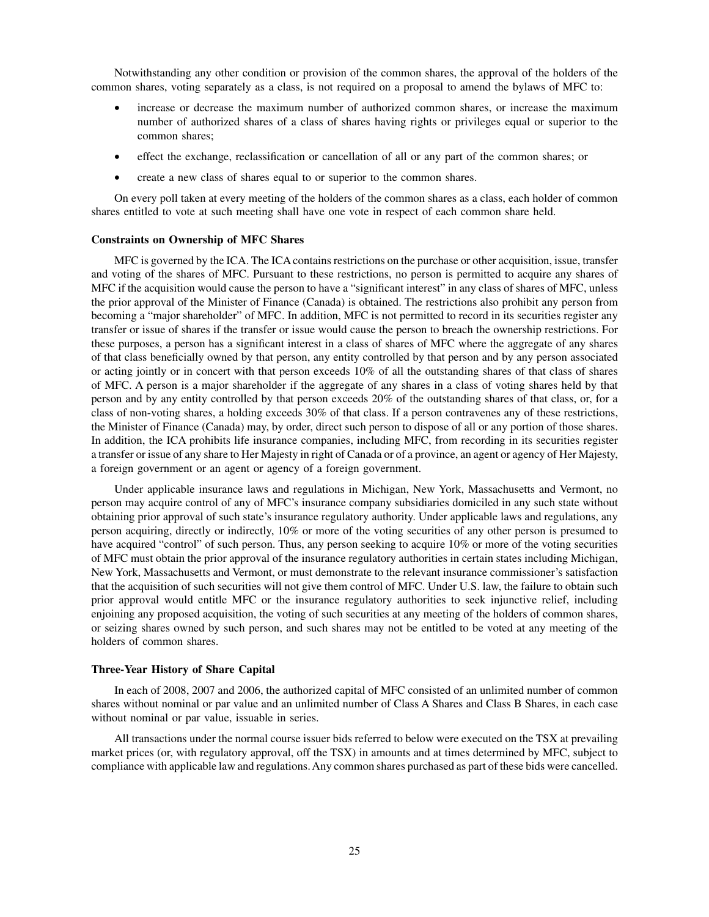Notwithstanding any other condition or provision of the common shares, the approval of the holders of the common shares, voting separately as a class, is not required on a proposal to amend the bylaws of MFC to:

- increase or decrease the maximum number of authorized common shares, or increase the maximum number of authorized shares of a class of shares having rights or privileges equal or superior to the common shares;
- effect the exchange, reclassification or cancellation of all or any part of the common shares; or
- create a new class of shares equal to or superior to the common shares.

On every poll taken at every meeting of the holders of the common shares as a class, each holder of common shares entitled to vote at such meeting shall have one vote in respect of each common share held.

#### **Constraints on Ownership of MFC Shares**

MFC is governed by the ICA. The ICA contains restrictions on the purchase or other acquisition, issue, transfer and voting of the shares of MFC. Pursuant to these restrictions, no person is permitted to acquire any shares of MFC if the acquisition would cause the person to have a "significant interest" in any class of shares of MFC, unless the prior approval of the Minister of Finance (Canada) is obtained. The restrictions also prohibit any person from becoming a "major shareholder" of MFC. In addition, MFC is not permitted to record in its securities register any transfer or issue of shares if the transfer or issue would cause the person to breach the ownership restrictions. For these purposes, a person has a significant interest in a class of shares of MFC where the aggregate of any shares of that class beneficially owned by that person, any entity controlled by that person and by any person associated or acting jointly or in concert with that person exceeds 10% of all the outstanding shares of that class of shares of MFC. A person is a major shareholder if the aggregate of any shares in a class of voting shares held by that person and by any entity controlled by that person exceeds 20% of the outstanding shares of that class, or, for a class of non-voting shares, a holding exceeds 30% of that class. If a person contravenes any of these restrictions, the Minister of Finance (Canada) may, by order, direct such person to dispose of all or any portion of those shares. In addition, the ICA prohibits life insurance companies, including MFC, from recording in its securities register a transfer or issue of any share to Her Majesty in right of Canada or of a province, an agent or agency of Her Majesty, a foreign government or an agent or agency of a foreign government.

Under applicable insurance laws and regulations in Michigan, New York, Massachusetts and Vermont, no person may acquire control of any of MFC's insurance company subsidiaries domiciled in any such state without obtaining prior approval of such state's insurance regulatory authority. Under applicable laws and regulations, any person acquiring, directly or indirectly, 10% or more of the voting securities of any other person is presumed to have acquired "control" of such person. Thus, any person seeking to acquire 10% or more of the voting securities of MFC must obtain the prior approval of the insurance regulatory authorities in certain states including Michigan, New York, Massachusetts and Vermont, or must demonstrate to the relevant insurance commissioner's satisfaction that the acquisition of such securities will not give them control of MFC. Under U.S. law, the failure to obtain such prior approval would entitle MFC or the insurance regulatory authorities to seek injunctive relief, including enjoining any proposed acquisition, the voting of such securities at any meeting of the holders of common shares, or seizing shares owned by such person, and such shares may not be entitled to be voted at any meeting of the holders of common shares.

#### **Three-Year History of Share Capital**

In each of 2008, 2007 and 2006, the authorized capital of MFC consisted of an unlimited number of common shares without nominal or par value and an unlimited number of Class A Shares and Class B Shares, in each case without nominal or par value, issuable in series.

All transactions under the normal course issuer bids referred to below were executed on the TSX at prevailing market prices (or, with regulatory approval, off the TSX) in amounts and at times determined by MFC, subject to compliance with applicable law and regulations. Any common shares purchased as part of these bids were cancelled.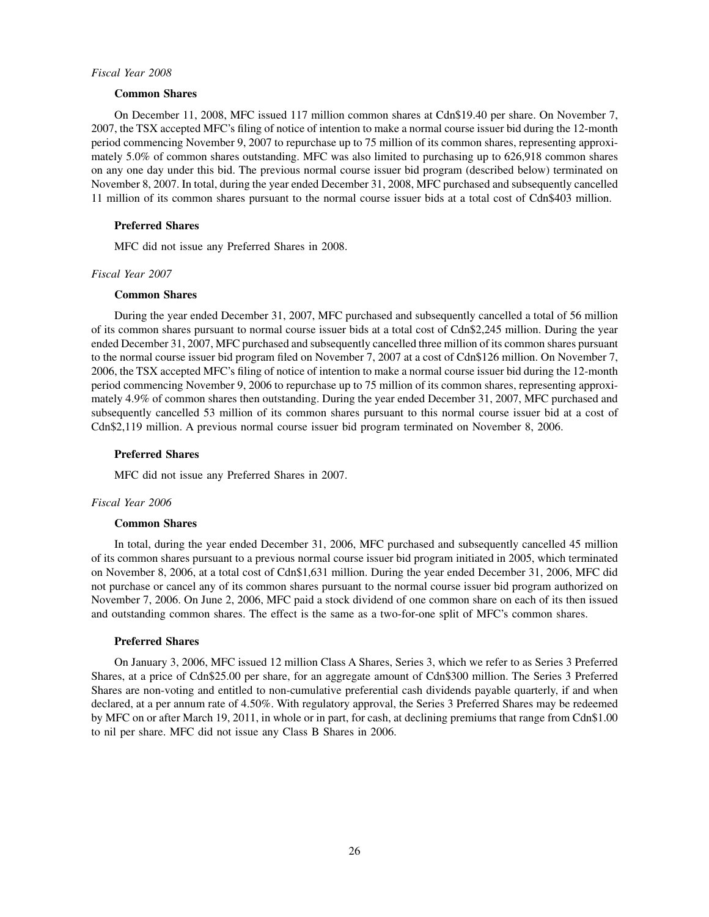#### *Fiscal Year 2008*

## **Common Shares**

On December 11, 2008, MFC issued 117 million common shares at Cdn\$19.40 per share. On November 7, 2007, the TSX accepted MFC's filing of notice of intention to make a normal course issuer bid during the 12-month period commencing November 9, 2007 to repurchase up to 75 million of its common shares, representing approximately 5.0% of common shares outstanding. MFC was also limited to purchasing up to 626,918 common shares on any one day under this bid. The previous normal course issuer bid program (described below) terminated on November 8, 2007. In total, during the year ended December 31, 2008, MFC purchased and subsequently cancelled 11 million of its common shares pursuant to the normal course issuer bids at a total cost of Cdn\$403 million.

#### **Preferred Shares**

MFC did not issue any Preferred Shares in 2008.

#### *Fiscal Year 2007*

#### **Common Shares**

During the year ended December 31, 2007, MFC purchased and subsequently cancelled a total of 56 million of its common shares pursuant to normal course issuer bids at a total cost of Cdn\$2,245 million. During the year ended December 31, 2007, MFC purchased and subsequently cancelled three million of its common shares pursuant to the normal course issuer bid program filed on November 7, 2007 at a cost of Cdn\$126 million. On November 7, 2006, the TSX accepted MFC's filing of notice of intention to make a normal course issuer bid during the 12-month period commencing November 9, 2006 to repurchase up to 75 million of its common shares, representing approximately 4.9% of common shares then outstanding. During the year ended December 31, 2007, MFC purchased and subsequently cancelled 53 million of its common shares pursuant to this normal course issuer bid at a cost of Cdn\$2,119 million. A previous normal course issuer bid program terminated on November 8, 2006.

#### **Preferred Shares**

MFC did not issue any Preferred Shares in 2007.

#### *Fiscal Year 2006*

#### **Common Shares**

In total, during the year ended December 31, 2006, MFC purchased and subsequently cancelled 45 million of its common shares pursuant to a previous normal course issuer bid program initiated in 2005, which terminated on November 8, 2006, at a total cost of Cdn\$1,631 million. During the year ended December 31, 2006, MFC did not purchase or cancel any of its common shares pursuant to the normal course issuer bid program authorized on November 7, 2006. On June 2, 2006, MFC paid a stock dividend of one common share on each of its then issued and outstanding common shares. The effect is the same as a two-for-one split of MFC's common shares.

#### **Preferred Shares**

On January 3, 2006, MFC issued 12 million Class A Shares, Series 3, which we refer to as Series 3 Preferred Shares, at a price of Cdn\$25.00 per share, for an aggregate amount of Cdn\$300 million. The Series 3 Preferred Shares are non-voting and entitled to non-cumulative preferential cash dividends payable quarterly, if and when declared, at a per annum rate of 4.50%. With regulatory approval, the Series 3 Preferred Shares may be redeemed by MFC on or after March 19, 2011, in whole or in part, for cash, at declining premiums that range from Cdn\$1.00 to nil per share. MFC did not issue any Class B Shares in 2006.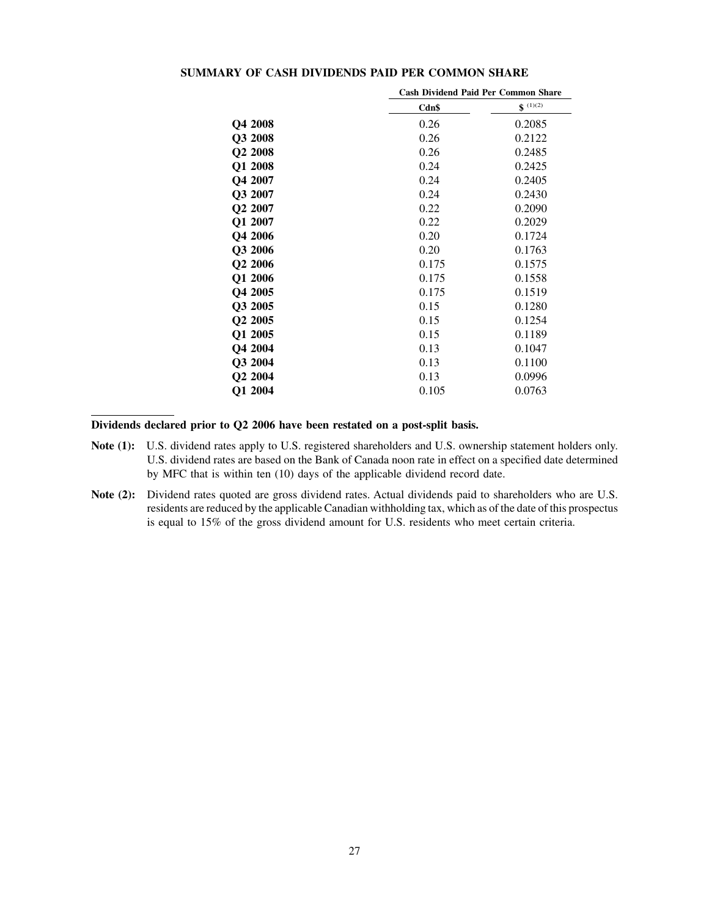| Cash Dividend Paid Per Common Share |              |  |
|-------------------------------------|--------------|--|
| Cdn\$                               | $$^{(1)(2)}$ |  |
| 0.26                                | 0.2085       |  |
| 0.26                                | 0.2122       |  |
| 0.26                                | 0.2485       |  |
| 0.24                                | 0.2425       |  |
| 0.24                                | 0.2405       |  |
| 0.24                                | 0.2430       |  |
| 0.22                                | 0.2090       |  |
| 0.22                                | 0.2029       |  |
| 0.20                                | 0.1724       |  |
| 0.20                                | 0.1763       |  |
| 0.175                               | 0.1575       |  |
| 0.175                               | 0.1558       |  |
| 0.175                               | 0.1519       |  |
| 0.15                                | 0.1280       |  |
| 0.15                                | 0.1254       |  |
| 0.15                                | 0.1189       |  |
| 0.13                                | 0.1047       |  |
| 0.13                                | 0.1100       |  |
| 0.13                                | 0.0996       |  |
| 0.105                               | 0.0763       |  |
|                                     |              |  |

# **SUMMARY OF CASH DIVIDENDS PAID PER COMMON SHARE**

**Dividends declared prior to Q2 2006 have been restated on a post-split basis.**

- **Note (1):** U.S. dividend rates apply to U.S. registered shareholders and U.S. ownership statement holders only. U.S. dividend rates are based on the Bank of Canada noon rate in effect on a specified date determined by MFC that is within ten (10) days of the applicable dividend record date.
- **Note (2):** Dividend rates quoted are gross dividend rates. Actual dividends paid to shareholders who are U.S. residents are reduced by the applicable Canadian withholding tax, which as of the date of this prospectus is equal to 15% of the gross dividend amount for U.S. residents who meet certain criteria.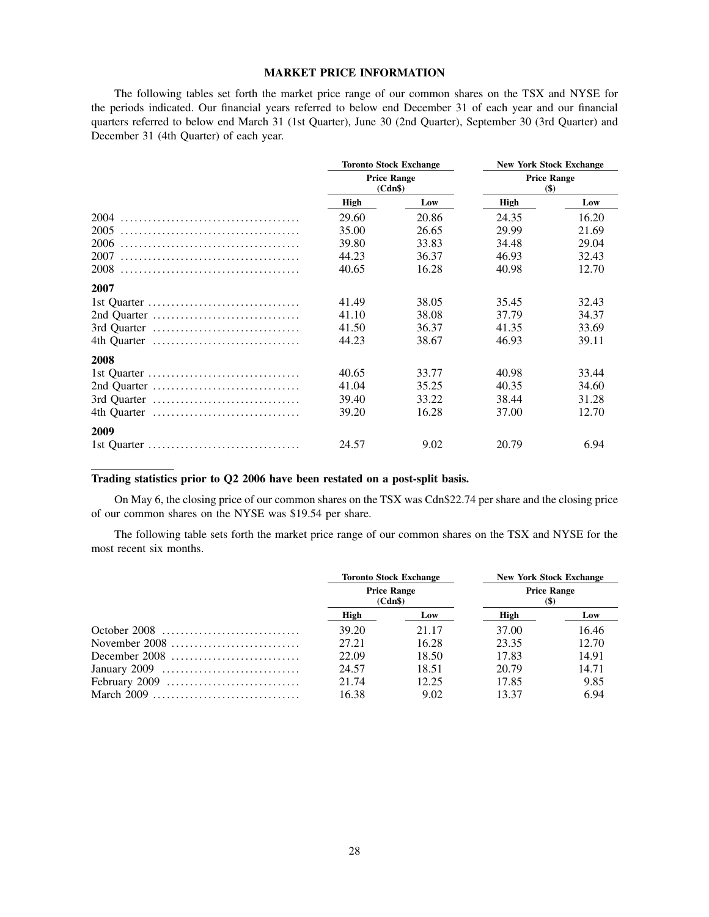### **MARKET PRICE INFORMATION**

The following tables set forth the market price range of our common shares on the TSX and NYSE for the periods indicated. Our financial years referred to below end December 31 of each year and our financial quarters referred to below end March 31 (1st Quarter), June 30 (2nd Quarter), September 30 (3rd Quarter) and December 31 (4th Quarter) of each year.

|             | <b>Toronto Stock Exchange</b><br><b>Price Range</b><br>(Cdn\$) |       | <b>New York Stock Exchange</b><br><b>Price Range</b><br>\$) |       |  |
|-------------|----------------------------------------------------------------|-------|-------------------------------------------------------------|-------|--|
|             |                                                                |       |                                                             |       |  |
|             | High                                                           | Low   | <b>High</b>                                                 | Low   |  |
| 2004        | 29.60                                                          | 20.86 | 24.35                                                       | 16.20 |  |
| 2005        | 35.00                                                          | 26.65 | 29.99                                                       | 21.69 |  |
| 2006        | 39.80                                                          | 33.83 | 34.48                                                       | 29.04 |  |
| 2007        | 44.23                                                          | 36.37 | 46.93                                                       | 32.43 |  |
| 2008        | 40.65                                                          | 16.28 | 40.98                                                       | 12.70 |  |
| 2007        |                                                                |       |                                                             |       |  |
|             | 41.49                                                          | 38.05 | 35.45                                                       | 32.43 |  |
| 2nd Quarter | 41.10                                                          | 38.08 | 37.79                                                       | 34.37 |  |
| 3rd Quarter | 41.50                                                          | 36.37 | 41.35                                                       | 33.69 |  |
|             | 44.23                                                          | 38.67 | 46.93                                                       | 39.11 |  |
| 2008        |                                                                |       |                                                             |       |  |
|             | 40.65                                                          | 33.77 | 40.98                                                       | 33.44 |  |
|             | 41.04                                                          | 35.25 | 40.35                                                       | 34.60 |  |
|             | 39.40                                                          | 33.22 | 38.44                                                       | 31.28 |  |
| 4th Quarter | 39.20                                                          | 16.28 | 37.00                                                       | 12.70 |  |
| 2009        |                                                                |       |                                                             |       |  |
|             | 24.57                                                          | 9.02  | 20.79                                                       | 6.94  |  |

# **Trading statistics prior to Q2 2006 have been restated on a post-split basis.**

On May 6, the closing price of our common shares on the TSX was Cdn\$22.74 per share and the closing price of our common shares on the NYSE was \$19.54 per share.

The following table sets forth the market price range of our common shares on the TSX and NYSE for the most recent six months.

|                                                                             | <b>Toronto Stock Exchange</b><br><b>Price Range</b><br>(Cdn\$) |       | <b>New York Stock Exchange</b><br><b>Price Range</b><br>(\$) |       |  |
|-----------------------------------------------------------------------------|----------------------------------------------------------------|-------|--------------------------------------------------------------|-------|--|
|                                                                             |                                                                |       |                                                              |       |  |
|                                                                             | High                                                           | Low   | High                                                         | Low   |  |
|                                                                             | 39.20                                                          | 21.17 | 37.00                                                        | 16.46 |  |
|                                                                             | 27.21                                                          | 16.28 | 23.35                                                        | 12.70 |  |
| December 2008 $\dots\dots\dots\dots\dots\dots\dots\dots\dots\dots$          | 22.09                                                          | 18.50 | 17.83                                                        | 14.91 |  |
| January 2009 $\dots\dots\dots\dots\dots\dots\dots\dots\dots\dots\dots\dots$ | 24.57                                                          | 18.51 | 20.79                                                        | 14.71 |  |
|                                                                             | 21.74                                                          | 12.25 | 17.85                                                        | 9.85  |  |
| March $2009$                                                                | 16.38                                                          | 9.02  | 13.37                                                        | 6.94  |  |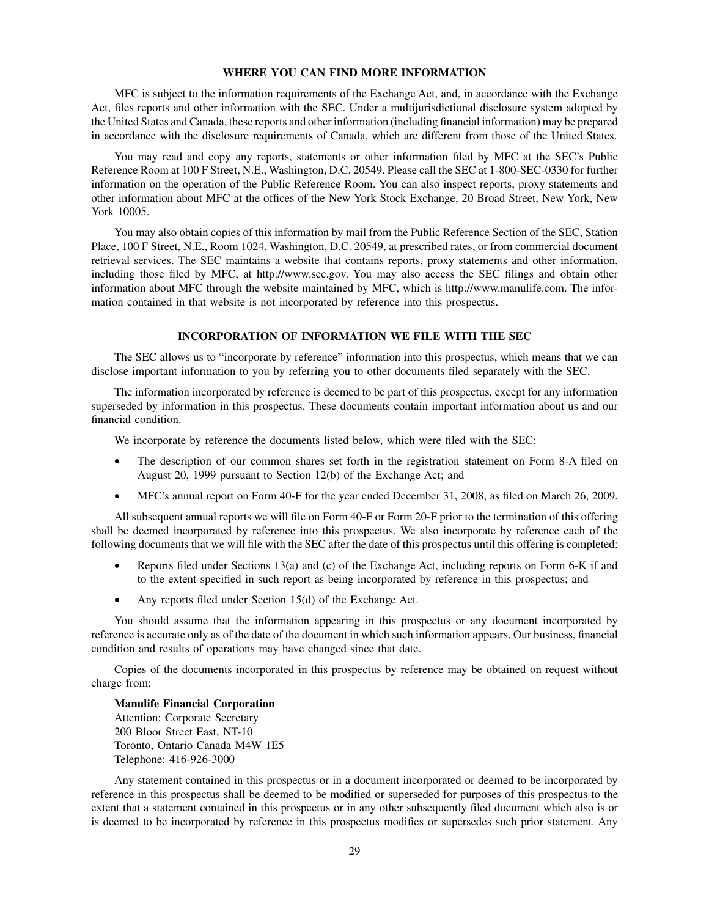#### **WHERE YOU CAN FIND MORE INFORMATION**

MFC is subject to the information requirements of the Exchange Act, and, in accordance with the Exchange Act, files reports and other information with the SEC. Under a multijurisdictional disclosure system adopted by the United States and Canada, these reports and other information (including financial information) may be prepared in accordance with the disclosure requirements of Canada, which are different from those of the United States.

You may read and copy any reports, statements or other information filed by MFC at the SEC's Public Reference Room at 100 F Street, N.E., Washington, D.C. 20549. Please call the SEC at 1-800-SEC-0330 for further information on the operation of the Public Reference Room. You can also inspect reports, proxy statements and other information about MFC at the offices of the New York Stock Exchange, 20 Broad Street, New York, New York 10005.

You may also obtain copies of this information by mail from the Public Reference Section of the SEC, Station Place, 100 F Street, N.E., Room 1024, Washington, D.C. 20549, at prescribed rates, or from commercial document retrieval services. The SEC maintains a website that contains reports, proxy statements and other information, including those filed by MFC, at [http://www.sec.gov. Y](http://www.sec.gov)ou may also access the SEC filings and obtain other information about MFC through the website maintained by MFC, which is [http://www.manulife.com. Th](http://www.manulife.com)e information contained in that website is not incorporated by reference into this prospectus.

## **INCORPORATION OF INFORMATION WE FILE WITH THE SEC**

The SEC allows us to "incorporate by reference" information into this prospectus, which means that we can disclose important information to you by referring you to other documents filed separately with the SEC.

The information incorporated by reference is deemed to be part of this prospectus, except for any information superseded by information in this prospectus. These documents contain important information about us and our financial condition.

We incorporate by reference the documents listed below, which were filed with the SEC:

- The description of our common shares set forth in the registration statement on Form 8-A filed on August 20, 1999 pursuant to Section 12(b) of the Exchange Act; and
- MFC's annual report on Form 40-F for the year ended December 31, 2008, as filed on March 26, 2009.

All subsequent annual reports we will file on Form 40-F or Form 20-F prior to the termination of this offering shall be deemed incorporated by reference into this prospectus. We also incorporate by reference each of the following documents that we will file with the SEC after the date of this prospectus until this offering is completed:

- Reports filed under Sections 13(a) and (c) of the Exchange Act, including reports on Form 6-K if and to the extent specified in such report as being incorporated by reference in this prospectus; and
- Any reports filed under Section  $15(d)$  of the Exchange Act.

You should assume that the information appearing in this prospectus or any document incorporated by reference is accurate only as of the date of the document in which such information appears. Our business, financial condition and results of operations may have changed since that date.

Copies of the documents incorporated in this prospectus by reference may be obtained on request without charge from:

#### **Manulife Financial Corporation**

Attention: Corporate Secretary 200 Bloor Street East, NT-10 Toronto, Ontario Canada M4W 1E5 Telephone: 416-926-3000

Any statement contained in this prospectus or in a document incorporated or deemed to be incorporated by reference in this prospectus shall be deemed to be modified or superseded for purposes of this prospectus to the extent that a statement contained in this prospectus or in any other subsequently filed document which also is or is deemed to be incorporated by reference in this prospectus modifies or supersedes such prior statement. Any